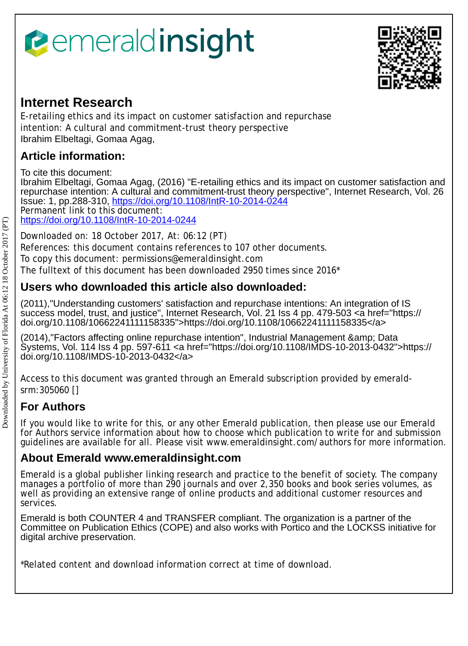# *<u><b>emeraldinsight</u>*



# **Internet Research**

E-retailing ethics and its impact on customer satisfaction and repurchase intention: A cultural and commitment-trust theory perspective Ibrahim Elbeltagi, Gomaa Agag,

# **Article information:**

To cite this document:

Ibrahim Elbeltagi, Gomaa Agag, (2016) "E-retailing ethics and its impact on customer satisfaction and repurchase intention: A cultural and commitment-trust theory perspective", Internet Research, Vol. 26 Issue: 1, pp.288-310,<https://doi.org/10.1108/IntR-10-2014-0244> Permanent link to this document: <https://doi.org/10.1108/IntR-10-2014-0244>

Downloaded on: 18 October 2017, At: 06:12 (PT)

References: this document contains references to 107 other documents.

To copy this document: permissions@emeraldinsight.com

The fulltext of this document has been downloaded 2950 times since 2016\*

## **Users who downloaded this article also downloaded:**

(2011),"Understanding customers' satisfaction and repurchase intentions: An integration of IS success model, trust, and justice", Internet Research, Vol. 21 Iss 4 pp. 479-503 <a href="https:// doi.org/10.1108/10662241111158335">https://doi.org/10.1108/10662241111158335</a>

(2014),"Factors affecting online repurchase intention", Industrial Management & amp: Data Systems, Vol. 114 Iss 4 pp. 597-611 <a href="https://doi.org/10.1108/IMDS-10-2013-0432">https:// doi.org/10.1108/IMDS-10-2013-0432</a>

Access to this document was granted through an Emerald subscription provided by emeraldsrm:305060 []

# **For Authors**

If you would like to write for this, or any other Emerald publication, then please use our Emerald for Authors service information about how to choose which publication to write for and submission guidelines are available for all. Please visit www.emeraldinsight.com/authors for more information.

### **About Emerald www.emeraldinsight.com**

Emerald is a global publisher linking research and practice to the benefit of society. The company manages a portfolio of more than 290 journals and over 2,350 books and book series volumes, as well as providing an extensive range of online products and additional customer resources and services.

Emerald is both COUNTER 4 and TRANSFER compliant. The organization is a partner of the Committee on Publication Ethics (COPE) and also works with Portico and the LOCKSS initiative for digital archive preservation.

\*Related content and download information correct at time of download.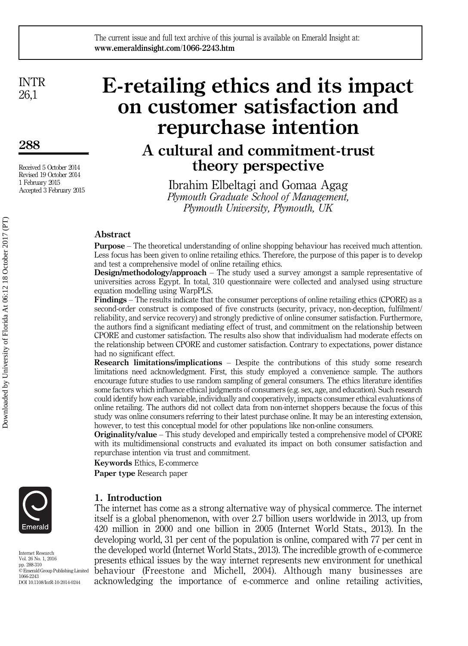INTR 26,1

288

Received 5 October 2014 Revised 19 October 2014 1 February 2015 Accepted 3 February 2015

# E-retailing ethics and its impact on customer satisfaction and repurchase intention

# A cultural and commitment-trust theory perspective

Ibrahim Elbeltagi and Gomaa Agag Plymouth Graduate School of Management, Plymouth University, Plymouth, UK

#### Abstract

Purpose – The theoretical understanding of online shopping behaviour has received much attention. Less focus has been given to online retailing ethics. Therefore, the purpose of this paper is to develop and test a comprehensive model of online retailing ethics.

**Design/methodology/approach** – The study used a survey amongst a sample representative of universities across Egypt. In total, 310 questionnaire were collected and analysed using structure equation modelling using WarpPLS.

Findings – The results indicate that the consumer perceptions of online retailing ethics (CPORE) as a second-order construct is composed of five constructs (security, privacy, non-deception, fulfilment/ reliability, and service recovery) and strongly predictive of online consumer satisfaction. Furthermore, the authors find a significant mediating effect of trust, and commitment on the relationship between CPORE and customer satisfaction. The results also show that individualism had moderate effects on the relationship between CPORE and customer satisfaction. Contrary to expectations, power distance had no significant effect.

Research limitations/implications – Despite the contributions of this study some research limitations need acknowledgment. First, this study employed a convenience sample. The authors encourage future studies to use random sampling of general consumers. The ethics literature identifies some factors which influence ethical judgments of consumers (e.g. sex, age, and education). Such research could identify how each variable, individually and cooperatively, impacts consumer ethical evaluations of online retailing. The authors did not collect data from non-internet shoppers because the focus of this study was online consumers referring to their latest purchase online. It may be an interesting extension, however, to test this conceptual model for other populations like non-online consumers.

Originality/value – This study developed and empirically tested a comprehensive model of CPORE with its multidimensional constructs and evaluated its impact on both consumer satisfaction and repurchase intention via trust and commitment.

Keywords Ethics, E-commerce

Paper type Research paper



Internet Research Vol. 26 No. 1, 2016 pp. 288-310

© Emerald Group Publishing Limited 1066-2243 DOI 10.1108/IntR-10-2014-0244

1. Introduction

The internet has come as a strong alternative way of physical commerce. The internet itself is a global phenomenon, with over 2.7 billion users worldwide in 2013, up from 420 million in 2000 and one billion in 2005 (Internet World Stats., 2013). In the developing world, 31 per cent of the population is online, compared with 77 per cent in the developed world (Internet World Stats., 2013). The incredible growth of e-commerce presents ethical issues by the way internet represents new environment for unethical behaviour (Freestone and Michell, 2004). Although many businesses are acknowledging the importance of e-commerce and online retailing activities,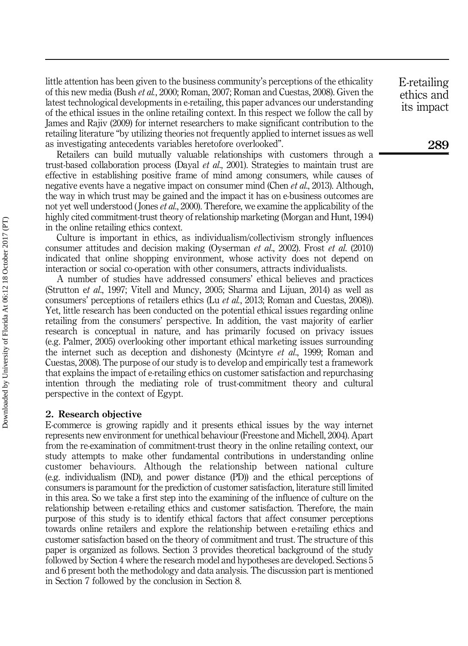little attention has been given to the business community's perceptions of the ethicality of this new media (Bush et al., 2000; Roman, 2007; Roman and Cuestas, 2008). Given the latest technological developments in e-retailing, this paper advances our understanding of the ethical issues in the online retailing context. In this respect we follow the call by James and Rajiv (2009) for internet researchers to make significant contribution to the retailing literature "by utilizing theories not frequently applied to internet issues as well as investigating antecedents variables heretofore overlooked".

Retailers can build mutually valuable relationships with customers through a trust-based collaboration process (Dayal et al., 2001). Strategies to maintain trust are effective in establishing positive frame of mind among consumers, while causes of negative events have a negative impact on consumer mind (Chen *et al.*, 2013). Although, the way in which trust may be gained and the impact it has on e-business outcomes are not yet well understood (Jones *et al.*, 2000). Therefore, we examine the applicability of the highly cited commitment-trust theory of relationship marketing (Morgan and Hunt, 1994) in the online retailing ethics context.

Culture is important in ethics, as individualism/collectivism strongly influences consumer attitudes and decision making (Oyserman et al., 2002). Frost et al. (2010) indicated that online shopping environment, whose activity does not depend on interaction or social co-operation with other consumers, attracts individualists.

A number of studies have addressed consumers' ethical believes and practices (Strutton et al., 1997; Vitell and Muncy, 2005; Sharma and Lijuan, 2014) as well as consumers' perceptions of retailers ethics (Lu et al., 2013; Roman and Cuestas, 2008)). Yet, little research has been conducted on the potential ethical issues regarding online retailing from the consumers' perspective. In addition, the vast majority of earlier research is conceptual in nature, and has primarily focused on privacy issues (e.g. Palmer, 2005) overlooking other important ethical marketing issues surrounding the internet such as deception and dishonesty (Mcintyre *et al.*, 1999; Roman and Cuestas, 2008). The purpose of our study is to develop and empirically test a framework that explains the impact of e-retailing ethics on customer satisfaction and repurchasing intention through the mediating role of trust-commitment theory and cultural perspective in the context of Egypt.

#### 2. Research objective

E-commerce is growing rapidly and it presents ethical issues by the way internet represents new environment for unethical behaviour (Freestone and Michell, 2004). Apart from the re-examination of commitment-trust theory in the online retailing context, our study attempts to make other fundamental contributions in understanding online customer behaviours. Although the relationship between national culture (e.g. individualism (IND), and power distance (PD)) and the ethical perceptions of consumers is paramount for the prediction of customer satisfaction, literature still limited in this area. So we take a first step into the examining of the influence of culture on the relationship between e-retailing ethics and customer satisfaction. Therefore, the main purpose of this study is to identify ethical factors that affect consumer perceptions towards online retailers and explore the relationship between e-retailing ethics and customer satisfaction based on the theory of commitment and trust. The structure of this paper is organized as follows. Section 3 provides theoretical background of the study followed by Section 4 where the research model and hypotheses are developed. Sections 5 and 6 present both the methodology and data analysis. The discussion part is mentioned in Section 7 followed by the conclusion in Section 8.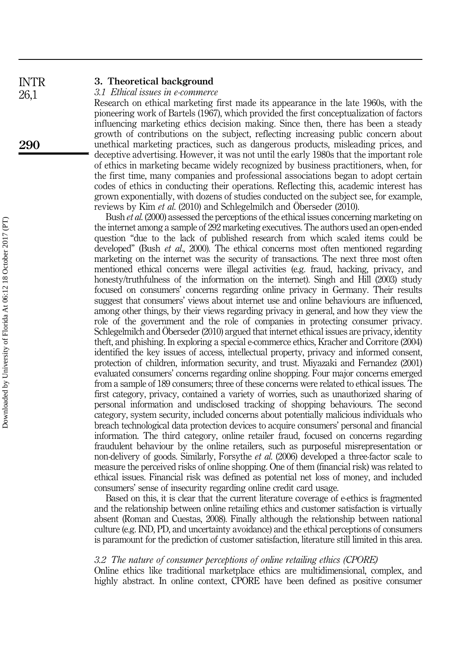#### 3. Theoretical background INTR

3.1 Ethical issues in e-commerce

Research on ethical marketing first made its appearance in the late 1960s, with the pioneering work of Bartels (1967), which provided the first conceptualization of factors influencing marketing ethics decision making. Since then, there has been a steady growth of contributions on the subject, reflecting increasing public concern about unethical marketing practices, such as dangerous products, misleading prices, and deceptive advertising. However, it was not until the early 1980s that the important role of ethics in marketing became widely recognized by business practitioners, when, for the first time, many companies and professional associations began to adopt certain codes of ethics in conducting their operations. Reflecting this, academic interest has grown exponentially, with dozens of studies conducted on the subject see, for example, reviews by Kim et al. (2010) and Schlegelmilch and Öberseder (2010).

Bush *et al.* (2000) assessed the perceptions of the ethical issues concerning marketing on the internet among a sample of 292 marketing executives. The authors used an open-ended question "due to the lack of published research from which scaled items could be developed" (Bush et al., 2000). The ethical concerns most often mentioned regarding marketing on the internet was the security of transactions. The next three most often mentioned ethical concerns were illegal activities (e.g. fraud, hacking, privacy, and honesty/truthfulness of the information on the internet). Singh and Hill (2003) study focused on consumers' concerns regarding online privacy in Germany. Their results suggest that consumers' views about internet use and online behaviours are influenced, among other things, by their views regarding privacy in general, and how they view the role of the government and the role of companies in protecting consumer privacy. Schlegelmilch and Öberseder (2010) argued that internet ethical issues are privacy, identity theft, and phishing. In exploring a special e-commerce ethics, Kracher and Corritore (2004) identified the key issues of access, intellectual property, privacy and informed consent, protection of children, information security, and trust. Miyazaki and Fernandez (2001) evaluated consumers' concerns regarding online shopping. Four major concerns emerged from a sample of 189 consumers; three of these concerns were related to ethical issues. The first category, privacy, contained a variety of worries, such as unauthorized sharing of personal information and undisclosed tracking of shopping behaviours. The second category, system security, included concerns about potentially malicious individuals who breach technological data protection devices to acquire consumers' personal and financial information. The third category, online retailer fraud, focused on concerns regarding fraudulent behaviour by the online retailers, such as purposeful misrepresentation or non-delivery of goods. Similarly, Forsythe et al. (2006) developed a three-factor scale to measure the perceived risks of online shopping. One of them (financial risk) was related to ethical issues. Financial risk was defined as potential net loss of money, and included consumers' sense of insecurity regarding online credit card usage.

Based on this, it is clear that the current literature coverage of e-ethics is fragmented and the relationship between online retailing ethics and customer satisfaction is virtually absent (Roman and Cuestas, 2008). Finally although the relationship between national culture (e.g. IND, PD, and uncertainty avoidance) and the ethical perceptions of consumers is paramount for the prediction of customer satisfaction, literature still limited in this area.

#### 3.2 The nature of consumer perceptions of online retailing ethics (CPORE)

Online ethics like traditional marketplace ethics are multidimensional, complex, and highly abstract. In online context, CPORE have been defined as positive consumer

290

26,1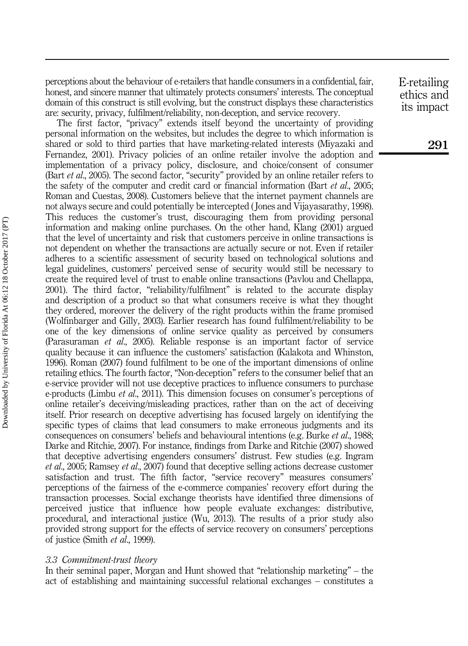perceptions about the behaviour of e-retailers that handle consumers in a confidential, fair, honest, and sincere manner that ultimately protects consumers' interests. The conceptual domain of this construct is still evolving, but the construct displays these characteristics are: security, privacy, fulfilment/reliability, non-deception, and service recovery.

The first factor, "privacy" extends itself beyond the uncertainty of providing personal information on the websites, but includes the degree to which information is shared or sold to third parties that have marketing-related interests (Miyazaki and Fernandez, 2001). Privacy policies of an online retailer involve the adoption and implementation of a privacy policy, disclosure, and choice/consent of consumer (Bart *et al.*, 2005). The second factor, "security" provided by an online retailer refers to the safety of the computer and credit card or financial information (Bart *et al.*, 2005; Roman and Cuestas, 2008). Customers believe that the internet payment channels are not always secure and could potentially be intercepted ( Jones and Vijayasarathy, 1998). This reduces the customer's trust, discouraging them from providing personal information and making online purchases. On the other hand, Klang (2001) argued that the level of uncertainty and risk that customers perceive in online transactions is not dependent on whether the transactions are actually secure or not. Even if retailer adheres to a scientific assessment of security based on technological solutions and legal guidelines, customers' perceived sense of security would still be necessary to create the required level of trust to enable online transactions (Pavlou and Chellappa, 2001). The third factor, "reliability/fulfilment" is related to the accurate display and description of a product so that what consumers receive is what they thought they ordered, moreover the delivery of the right products within the frame promised (Wolfinbarger and Gilly, 2003). Earlier research has found fulfilment/reliability to be one of the key dimensions of online service quality as perceived by consumers (Parasuraman et al., 2005). Reliable response is an important factor of service quality because it can influence the customers' satisfaction (Kalakota and Whinston, 1996). Roman (2007) found fulfilment to be one of the important dimensions of online retailing ethics. The fourth factor, "Non-deception" refers to the consumer belief that an e-service provider will not use deceptive practices to influence consumers to purchase e-products (Limbu et al., 2011). This dimension focuses on consumer's perceptions of online retailer's deceiving/misleading practices, rather than on the act of deceiving itself. Prior research on deceptive advertising has focused largely on identifying the specific types of claims that lead consumers to make erroneous judgments and its consequences on consumers' beliefs and behavioural intentions (e.g. Burke *et al.*, 1988; Darke and Ritchie, 2007). For instance, findings from Darke and Ritchie (2007) showed that deceptive advertising engenders consumers' distrust. Few studies (e.g. Ingram et al., 2005; Ramsey et al., 2007) found that deceptive selling actions decrease customer satisfaction and trust. The fifth factor, "service recovery" measures consumers' perceptions of the fairness of the e-commerce companies' recovery effort during the transaction processes. Social exchange theorists have identified three dimensions of perceived justice that influence how people evaluate exchanges: distributive, procedural, and interactional justice (Wu, 2013). The results of a prior study also provided strong support for the effects of service recovery on consumers' perceptions of justice (Smith et al., 1999).

#### 3.3 Commitment-trust theory

In their seminal paper, Morgan and Hunt showed that "relationship marketing" – the act of establishing and maintaining successful relational exchanges – constitutes a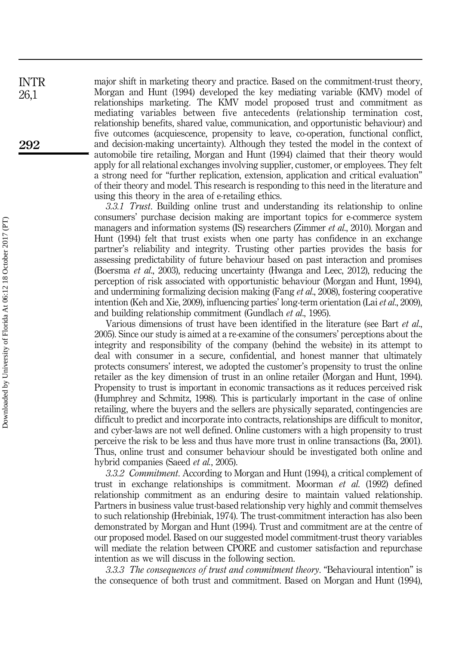major shift in marketing theory and practice. Based on the commitment-trust theory, Morgan and Hunt (1994) developed the key mediating variable (KMV) model of relationships marketing. The KMV model proposed trust and commitment as mediating variables between five antecedents (relationship termination cost, relationship benefits, shared value, communication, and opportunistic behaviour) and five outcomes (acquiescence, propensity to leave, co-operation, functional conflict, and decision-making uncertainty). Although they tested the model in the context of automobile tire retailing, Morgan and Hunt (1994) claimed that their theory would apply for all relational exchanges involving supplier, customer, or employees. They felt a strong need for "further replication, extension, application and critical evaluation" of their theory and model. This research is responding to this need in the literature and using this theory in the area of e-retailing ethics.

3.3.1 Trust. Building online trust and understanding its relationship to online consumers' purchase decision making are important topics for e-commerce system managers and information systems (IS) researchers (Zimmer *et al.*, 2010). Morgan and Hunt (1994) felt that trust exists when one party has confidence in an exchange partner's reliability and integrity. Trusting other parties provides the basis for assessing predictability of future behaviour based on past interaction and promises (Boersma et al., 2003), reducing uncertainty (Hwanga and Leec, 2012), reducing the perception of risk associated with opportunistic behaviour (Morgan and Hunt, 1994), and undermining formalizing decision making (Fang et al., 2008), fostering cooperative intention (Keh and Xie, 2009), influencing parties' long-term orientation (Lai et al., 2009), and building relationship commitment (Gundlach et al., 1995).

Various dimensions of trust have been identified in the literature (see Bart *et al.*, 2005). Since our study is aimed at a re-examine of the consumers' perceptions about the integrity and responsibility of the company (behind the website) in its attempt to deal with consumer in a secure, confidential, and honest manner that ultimately protects consumers' interest, we adopted the customer's propensity to trust the online retailer as the key dimension of trust in an online retailer (Morgan and Hunt, 1994). Propensity to trust is important in economic transactions as it reduces perceived risk (Humphrey and Schmitz, 1998). This is particularly important in the case of online retailing, where the buyers and the sellers are physically separated, contingencies are difficult to predict and incorporate into contracts, relationships are difficult to monitor, and cyber-laws are not well defined. Online customers with a high propensity to trust perceive the risk to be less and thus have more trust in online transactions (Ba, 2001). Thus, online trust and consumer behaviour should be investigated both online and hybrid companies (Saeed *et al.*, 2005).

3.3.2 *Commitment*. According to Morgan and Hunt (1994), a critical complement of trust in exchange relationships is commitment. Moorman et al. (1992) defined relationship commitment as an enduring desire to maintain valued relationship. Partners in business value trust-based relationship very highly and commit themselves to such relationship (Hrebiniak, 1974). The trust-commitment interaction has also been demonstrated by Morgan and Hunt (1994). Trust and commitment are at the centre of our proposed model. Based on our suggested model commitment-trust theory variables will mediate the relation between CPORE and customer satisfaction and repurchase intention as we will discuss in the following section.

3.3.3 The consequences of trust and commitment theory. "Behavioural intention" is the consequence of both trust and commitment. Based on Morgan and Hunt (1994),

INTR 26,1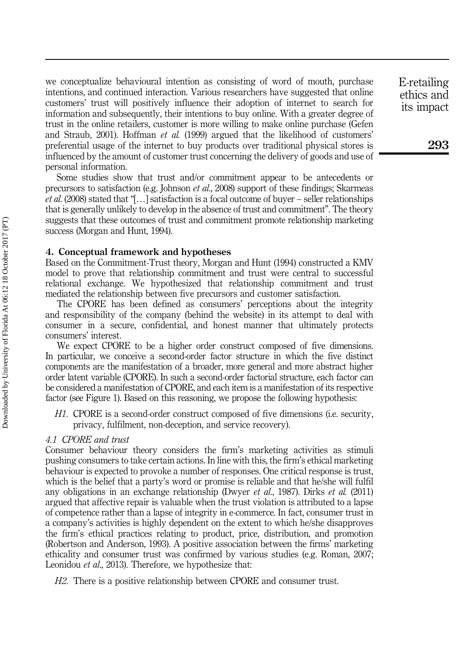we conceptualize behavioural intention as consisting of word of mouth, purchase intentions, and continued interaction. Various researchers have suggested that online customers' trust will positively influence their adoption of internet to search for information and subsequently, their intentions to buy online. With a greater degree of trust in the online retailers, customer is more willing to make online purchase (Gefen and Straub, 2001). Hoffman *et al.* (1999) argued that the likelihood of customers' preferential usage of the internet to buy products over traditional physical stores is influenced by the amount of customer trust concerning the delivery of goods and use of personal information.

Some studies show that trust and/or commitment appear to be antecedents or precursors to satisfaction (e.g. Johnson et al., 2008) support of these findings; Skarmeas *et al.* (2008) stated that "[...] satisfaction is a focal outcome of buyer – seller relationships that is generally unlikely to develop in the absence of trust and commitment". The theory suggests that these outcomes of trust and commitment promote relationship marketing success (Morgan and Hunt, 1994).

#### 4. Conceptual framework and hypotheses

Based on the Commitment-Trust theory, Morgan and Hunt (1994) constructed a KMV model to prove that relationship commitment and trust were central to successful relational exchange. We hypothesized that relationship commitment and trust mediated the relationship between five precursors and customer satisfaction.

The CPORE has been defined as consumers' perceptions about the integrity and responsibility of the company (behind the website) in its attempt to deal with consumer in a secure, confidential, and honest manner that ultimately protects consumers' interest.

We expect CPORE to be a higher order construct composed of five dimensions. In particular, we conceive a second-order factor structure in which the five distinct components are the manifestation of a broader, more general and more abstract higher order latent variable (CPORE). In such a second-order factorial structure, each factor can be considered a manifestation of CPORE, and each item is a manifestation of its respective factor (see Figure 1). Based on this reasoning, we propose the following hypothesis:

H1. CPORE is a second-order construct composed of five dimensions (i.e. security, privacy, fulfilment, non-deception, and service recovery).

#### 4.1 CPORE and trust

Consumer behaviour theory considers the firm's marketing activities as stimuli pushing consumers to take certain actions. In line with this, the firm's ethical marketing behaviour is expected to provoke a number of responses. One critical response is trust, which is the belief that a party's word or promise is reliable and that he/she will fulfil any obligations in an exchange relationship (Dwyer et al., 1987). Dirks et al. (2011) argued that affective repair is valuable when the trust violation is attributed to a lapse of competence rather than a lapse of integrity in e-commerce. In fact, consumer trust in a company's activities is highly dependent on the extent to which he/she disapproves the firm's ethical practices relating to product, price, distribution, and promotion (Robertson and Anderson, 1993). A positive association between the firms' marketing ethicality and consumer trust was confirmed by various studies (e.g. Roman, 2007; Leonidou *et al.*, 2013). Therefore, we hypothesize that:

H2. There is a positive relationship between CPORE and consumer trust.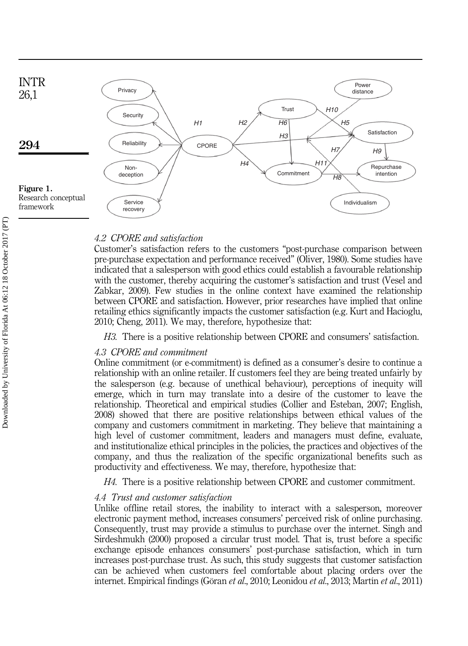

#### 4.2 CPORE and satisfaction

Customer's satisfaction refers to the customers "post-purchase comparison between pre-purchase expectation and performance received" (Oliver, 1980). Some studies have indicated that a salesperson with good ethics could establish a favourable relationship with the customer, thereby acquiring the customer's satisfaction and trust (Vesel and Zabkar, 2009). Few studies in the online context have examined the relationship between CPORE and satisfaction. However, prior researches have implied that online retailing ethics significantly impacts the customer satisfaction (e.g. Kurt and Hacioglu, 2010; Cheng, 2011). We may, therefore, hypothesize that:

H3. There is a positive relationship between CPORE and consumers' satisfaction.

#### 4.3 CPORE and commitment

Online commitment (or e-commitment) is defined as a consumer's desire to continue a relationship with an online retailer. If customers feel they are being treated unfairly by the salesperson (e.g. because of unethical behaviour), perceptions of inequity will emerge, which in turn may translate into a desire of the customer to leave the relationship. Theoretical and empirical studies (Collier and Esteban, 2007; English, 2008) showed that there are positive relationships between ethical values of the company and customers commitment in marketing. They believe that maintaining a high level of customer commitment, leaders and managers must define, evaluate, and institutionalize ethical principles in the policies, the practices and objectives of the company, and thus the realization of the specific organizational benefits such as productivity and effectiveness. We may, therefore, hypothesize that:

H4. There is a positive relationship between CPORE and customer commitment.

#### 4.4 Trust and customer satisfaction

Unlike offline retail stores, the inability to interact with a salesperson, moreover electronic payment method, increases consumers' perceived risk of online purchasing. Consequently, trust may provide a stimulus to purchase over the internet. Singh and Sirdeshmukh (2000) proposed a circular trust model. That is, trust before a specific exchange episode enhances consumers' post-purchase satisfaction, which in turn increases post-purchase trust. As such, this study suggests that customer satisfaction can be achieved when customers feel comfortable about placing orders over the internet. Empirical findings (Göran et al., 2010; Leonidou et al., 2013; Martín et al., 2011)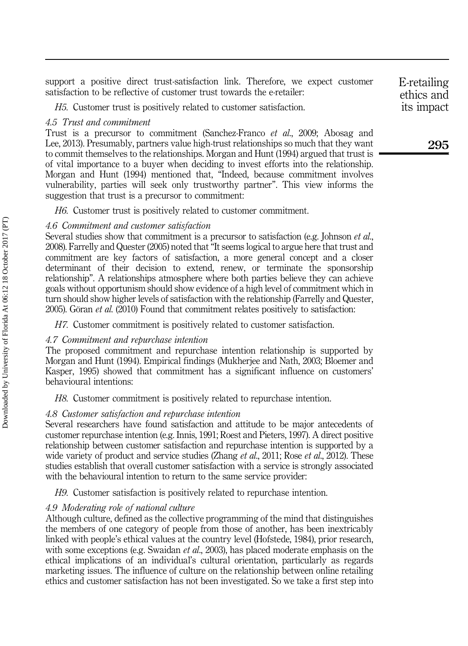support a positive direct trust-satisfaction link. Therefore, we expect customer satisfaction to be reflective of customer trust towards the e-retailer:

H5. Customer trust is positively related to customer satisfaction.

#### 4.5 Trust and commitment

Trust is a precursor to commitment (Sanchez-Franco et al., 2009; Abosag and Lee, 2013). Presumably, partners value high-trust relationships so much that they want to commit themselves to the relationships. Morgan and Hunt (1994) argued that trust is of vital importance to a buyer when deciding to invest efforts into the relationship. Morgan and Hunt (1994) mentioned that, "Indeed, because commitment involves vulnerability, parties will seek only trustworthy partner". This view informs the suggestion that trust is a precursor to commitment:

H6. Customer trust is positively related to customer commitment.

#### 4.6 Commitment and customer satisfaction

Several studies show that commitment is a precursor to satisfaction (e.g. Johnson *et al.*, 2008). Farrelly and Quester (2005) noted that "It seems logical to argue here that trust and commitment are key factors of satisfaction, a more general concept and a closer determinant of their decision to extend, renew, or terminate the sponsorship relationship". A relationships atmosphere where both parties believe they can achieve goals without opportunism should show evidence of a high level of commitment which in turn should show higher levels of satisfaction with the relationship (Farrelly and Quester, 2005). Göran et al. (2010) Found that commitment relates positively to satisfaction:

H7. Customer commitment is positively related to customer satisfaction.

#### 4.7 Commitment and repurchase intention

The proposed commitment and repurchase intention relationship is supported by Morgan and Hunt (1994). Empirical findings (Mukherjee and Nath, 2003; Bloemer and Kasper, 1995) showed that commitment has a significant influence on customers' behavioural intentions:

H8. Customer commitment is positively related to repurchase intention.

#### 4.8 Customer satisfaction and repurchase intention

Several researchers have found satisfaction and attitude to be major antecedents of customer repurchase intention (e.g. Innis, 1991; Roest and Pieters, 1997). A direct positive relationship between customer satisfaction and repurchase intention is supported by a wide variety of product and service studies (Zhang *et al.*, 2011; Rose *et al.*, 2012). These studies establish that overall customer satisfaction with a service is strongly associated with the behavioural intention to return to the same service provider:

H9. Customer satisfaction is positively related to repurchase intention.

#### 4.9 Moderating role of national culture

Although culture, defined as the collective programming of the mind that distinguishes the members of one category of people from those of another, has been inextricably linked with people's ethical values at the country level (Hofstede, 1984), prior research, with some exceptions (e.g. Swaidan *et al.*, 2003), has placed moderate emphasis on the ethical implications of an individual's cultural orientation, particularly as regards marketing issues. The influence of culture on the relationship between online retailing ethics and customer satisfaction has not been investigated. So we take a first step into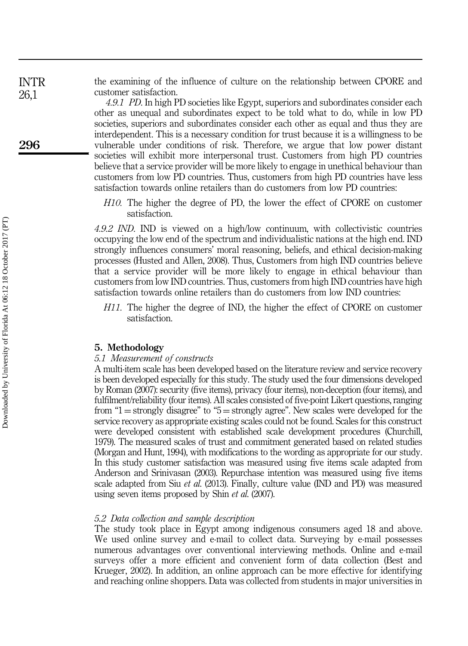the examining of the influence of culture on the relationship between CPORE and customer satisfaction.

> 4.9.1 PD. In high PD societies like Egypt, superiors and subordinates consider each other as unequal and subordinates expect to be told what to do, while in low PD societies, superiors and subordinates consider each other as equal and thus they are interdependent. This is a necessary condition for trust because it is a willingness to be vulnerable under conditions of risk. Therefore, we argue that low power distant societies will exhibit more interpersonal trust. Customers from high PD countries believe that a service provider will be more likely to engage in unethical behaviour than customers from low PD countries. Thus, customers from high PD countries have less satisfaction towards online retailers than do customers from low PD countries:

H10. The higher the degree of PD, the lower the effect of CPORE on customer satisfaction.

4.9.2 IND. IND is viewed on a high/low continuum, with collectivistic countries occupying the low end of the spectrum and individualistic nations at the high end. IND strongly influences consumers' moral reasoning, beliefs, and ethical decision-making processes (Husted and Allen, 2008). Thus, Customers from high IND countries believe that a service provider will be more likely to engage in ethical behaviour than customers from low IND countries. Thus, customers from high IND countries have high satisfaction towards online retailers than do customers from low IND countries:

H11. The higher the degree of IND, the higher the effect of CPORE on customer satisfaction.

#### 5. Methodology

#### 5.1 Measurement of constructs

A multi-item scale has been developed based on the literature review and service recovery is been developed especially for this study. The study used the four dimensions developed by Roman (2007): security (five items), privacy (four items), non-deception (four items), and fulfilment/reliability (four items). All scales consisted of five-point Likert questions, ranging from " $1 =$  strongly disagree" to " $5 =$  strongly agree". New scales were developed for the service recovery as appropriate existing scales could not be found. Scales for this construct were developed consistent with established scale development procedures (Churchill, 1979). The measured scales of trust and commitment generated based on related studies (Morgan and Hunt, 1994), with modifications to the wording as appropriate for our study. In this study customer satisfaction was measured using five items scale adapted from Anderson and Srinivasan (2003). Repurchase intention was measured using five items scale adapted from Siu *et al.* (2013). Finally, culture value (IND and PD) was measured using seven items proposed by Shin *et al.* (2007).

#### 5.2 Data collection and sample description

The study took place in Egypt among indigenous consumers aged 18 and above. We used online survey and e-mail to collect data. Surveying by e-mail possesses numerous advantages over conventional interviewing methods. Online and e-mail surveys offer a more efficient and convenient form of data collection (Best and Krueger, 2002). In addition, an online approach can be more effective for identifying and reaching online shoppers. Data was collected from students in major universities in

296

INTR 26,1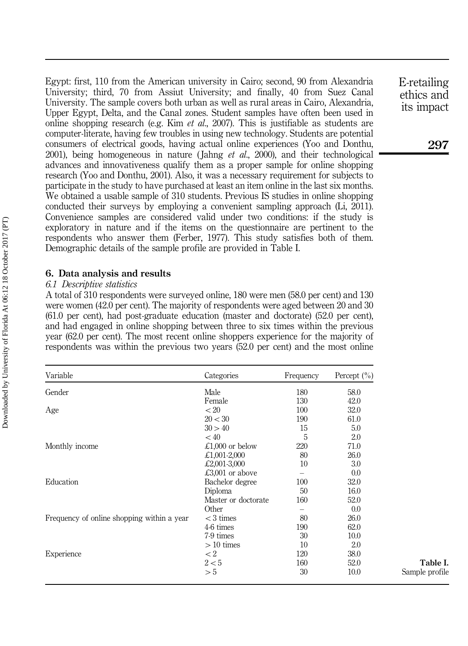Egypt: first, 110 from the American university in Cairo; second, 90 from Alexandria University; third, 70 from Assiut University; and finally, 40 from Suez Canal University. The sample covers both urban as well as rural areas in Cairo, Alexandria, Upper Egypt, Delta, and the Canal zones. Student samples have often been used in online shopping research (e.g. Kim  $et$  al., 2007). This is justifiable as students are computer-literate, having few troubles in using new technology. Students are potential consumers of electrical goods, having actual online experiences (Yoo and Donthu, 2001), being homogeneous in nature (Jahng *et al.*, 2000), and their technological advances and innovativeness qualify them as a proper sample for online shopping research (Yoo and Donthu, 2001). Also, it was a necessary requirement for subjects to participate in the study to have purchased at least an item online in the last six months. We obtained a usable sample of 310 students. Previous IS studies in online shopping conducted their surveys by employing a convenient sampling approach (Li, 2011). Convenience samples are considered valid under two conditions: if the study is exploratory in nature and if the items on the questionnaire are pertinent to the respondents who answer them (Ferber, 1977). This study satisfies both of them. Demographic details of the sample profile are provided in Table I.

#### 6. Data analysis and results

#### 6.1 Descriptive statistics

A total of 310 respondents were surveyed online, 180 were men (58.0 per cent) and 130 were women (42.0 per cent). The majority of respondents were aged between 20 and 30 (61.0 per cent), had post-graduate education (master and doctorate) (52.0 per cent), and had engaged in online shopping between three to six times within the previous year (62.0 per cent). The most recent online shoppers experience for the majority of respondents was within the previous two years (52.0 per cent) and the most online

| Variable                                   | Categories          | Frequency | Percept $(\% )$ |
|--------------------------------------------|---------------------|-----------|-----------------|
| Gender                                     | Male                | 180       | 58.0            |
|                                            | Female              | 130       | 42.0            |
| Age                                        | < 20                | 100       | 32.0            |
|                                            | 20 < 30             | 190       | 61.0            |
|                                            | 30 > 40             | 15        | 5.0             |
|                                            | < 40                | 5         | 2.0             |
| Monthly income                             | £1,000 or below     | 220       | 71.0            |
|                                            | £1,001-2,000        | 80        | 26.0            |
|                                            | £2,001-3,000        | 10        | 3.0             |
|                                            | £3,001 or above     |           | 0.0             |
| Education                                  | Bachelor degree     | 100       | 32.0            |
|                                            | Diploma             | 50        | 16.0            |
|                                            | Master or doctorate | 160       | 52.0            |
|                                            | Other               |           | 0.0             |
| Frequency of online shopping within a year | $<$ 3 times         | 80        | 26.0            |
|                                            | 4-6 times           | 190       | 62.0            |
|                                            | 7-9 times           | 30        | 10.0            |
|                                            | $>10$ times         | 10        | 2.0             |
| Experience                                 | $\lt2$              | 120       | 38.0            |
|                                            | 2 < 5               | 160       | 52.0            |
|                                            | > 5                 | 30        | 10.0            |
|                                            |                     |           |                 |

E-retailing ethics and its impact

Table I. Sample profile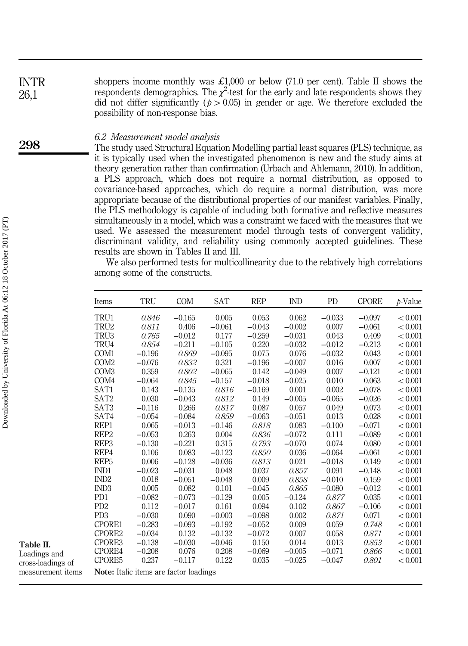shoppers income monthly was £1,000 or below (71.0 per cent). Table II shows the respondents demographics. The  $\chi^2$  test for the early and late respondents shows they did not differ significantly ( $p > 0.05$ ) in gender or age. We therefore excluded the possibility of non-response bias. INTR 26,1

#### 6.2 Measurement model analysis

The study used Structural Equation Modelling partial least squares (PLS) technique, as it is typically used when the investigated phenomenon is new and the study aims at theory generation rather than confirmation (Urbach and Ahlemann, 2010). In addition, a PLS approach, which does not require a normal distribution, as opposed to covariance-based approaches, which do require a normal distribution, was more appropriate because of the distributional properties of our manifest variables. Finally, the PLS methodology is capable of including both formative and reflective measures simultaneously in a model, which was a constraint we faced with the measures that we used. We assessed the measurement model through tests of convergent validity, discriminant validity, and reliability using commonly accepted guidelines. These results are shown in Tables II and III.

We also performed tests for multicollinearity due to the relatively high correlations among some of the constructs.

| Items                       | TRU      | <b>COM</b>                             | <b>SAT</b> | <b>REP</b> | <b>IND</b> | <b>PD</b> | <b>CPORE</b> | $p$ -Value |
|-----------------------------|----------|----------------------------------------|------------|------------|------------|-----------|--------------|------------|
| TRU1                        | 0.846    | $-0.165$                               | 0.005      | 0.053      | 0.062      | $-0.033$  | $-0.097$     | < 0.001    |
| TRU2                        | 0.811    | 0.406                                  | $-0.061$   | $-0.043$   | $-0.002$   | 0.007     | $-0.061$     | < 0.001    |
| TRU3                        | 0.765    | $-0.012$                               | 0.177      | $-0.259$   | $-0.031$   | 0.043     | 0.409        | < 0.001    |
| TRU4                        | 0.854    | $-0.211$                               | $-0.105$   | 0.220      | $-0.032$   | $-0.012$  | $-0.213$     | < 0.001    |
| COM <sub>1</sub>            | $-0.196$ | 0.869                                  | $-0.095$   | 0.075      | 0.076      | $-0.032$  | 0.043        | < 0.001    |
| COM <sub>2</sub>            | $-0.076$ | 0.832                                  | 0.321      | $-0.196$   | $-0.007$   | 0.016     | 0.007        | < 0.001    |
| COM <sub>3</sub>            | 0.359    | 0.802                                  | $-0.065$   | 0.142      | $-0.049$   | 0.007     | $-0.121$     | < 0.001    |
| COM <sub>4</sub>            | $-0.064$ | 0.845                                  | $-0.157$   | $-0.018$   | $-0.025$   | 0.010     | 0.063        | < 0.001    |
| SAT1                        | 0.143    | $-0.135$                               | 0.816      | $-0.169$   | 0.001      | 0.002     | $-0.078$     | < 0.001    |
| SAT <sub>2</sub>            | 0.030    | $-0.043$                               | 0.812      | 0.149      | $-0.005$   | $-0.065$  | $-0.026$     | < 0.001    |
| SAT <sub>3</sub>            | $-0.116$ | 0.266                                  | 0.817      | 0.087      | 0.057      | 0.049     | 0.073        | < 0.001    |
| SAT4                        | $-0.054$ | $-0.084$                               | 0.859      | $-0.063$   | $-0.051$   | 0.013     | 0.028        | < 0.001    |
| REP1                        | 0.065    | $-0.013$                               | $-0.146$   | 0.818      | 0.083      | $-0.100$  | $-0.071$     | < 0.001    |
| REP <sub>2</sub>            | $-0.053$ | 0.263                                  | 0.004      | 0.836      | $-0.072$   | 0.111     | $-0.089$     | < 0.001    |
| REP <sub>3</sub>            | $-0.130$ | $-0.221$                               | 0.315      | 0.793      | $-0.070$   | 0.074     | 0.080        | < 0.001    |
| REP4                        | 0.106    | 0.083                                  | $-0.123$   | 0.850      | 0.036      | $-0.064$  | $-0.061$     | < 0.001    |
| REP <sub>5</sub>            | 0.006    | $-0.128$                               | $-0.036$   | 0.813      | 0.021      | $-0.018$  | 0.149        | < 0.001    |
| IND1                        | $-0.023$ | $-0.031$                               | 0.048      | 0.037      | 0.857      | 0.091     | $-0.148$     | < 0.001    |
| IND <sub>2</sub>            | 0.018    | $-0.051$                               | $-0.048$   | 0.009      | 0.858      | $-0.010$  | 0.159        | < 0.001    |
| IND <sub>3</sub>            | 0.005    | 0.082                                  | 0.101      | $-0.045$   | 0.865      | $-0.080$  | $-0.012$     | < 0.001    |
| P <sub>D</sub> 1            | $-0.082$ | $-0.073$                               | $-0.129$   | 0.005      | $-0.124$   | 0.877     | 0.035        | < 0.001    |
| P <sub>D</sub> <sub>2</sub> | 0.112    | $-0.017$                               | 0.161      | 0.094      | 0.102      | 0.867     | $-0.106$     | < 0.001    |
| PD <sub>3</sub>             | $-0.030$ | 0.090                                  | $-0.003$   | $-0.098$   | 0.002      | 0.871     | 0.071        | < 0.001    |
| CPORE1                      | $-0.283$ | $-0.093$                               | $-0.192$   | $-0.052$   | 0.009      | 0.059     | 0.748        | < 0.001    |
| CPORE2                      | $-0.034$ | 0.132                                  | $-0.132$   | $-0.072$   | 0.007      | 0.058     | 0.871        | < 0.001    |
| CPORE3                      | $-0.138$ | $-0.030$                               | $-0.046$   | 0.150      | 0.014      | 0.013     | 0.853        | < 0.001    |
| CPORE4                      | $-0.208$ | 0.076                                  | 0.208      | $-0.069$   | $-0.005$   | $-0.071$  | 0.866        | < 0.001    |
| CPORE5                      | 0.237    | $-0.117$                               | 0.122      | 0.035      | $-0.025$   | $-0.047$  | 0.801        | < 0.001    |
|                             |          | Note: Italic items are factor loadings |            |            |            |           |              |            |

298

Table II. Loadings and cross-loadings of measurement iter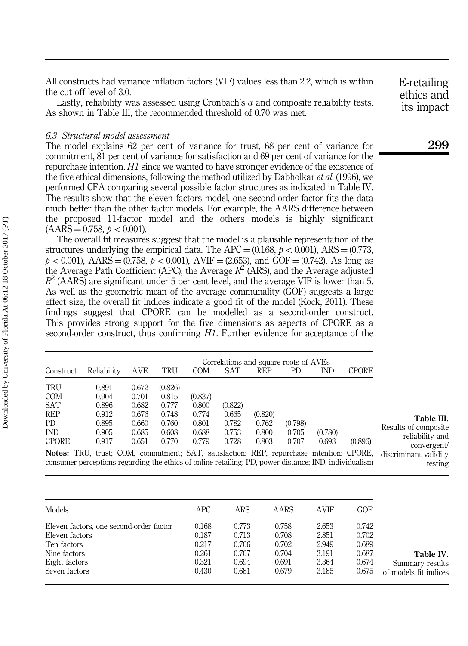All constructs had variance inflation factors (VIF) values less than 2.2, which is within the cut off level of 3.0.

Lastly, reliability was assessed using Cronbach's  $\alpha$  and composite reliability tests. As shown in Table III, the recommended threshold of 0.70 was met.

#### 6.3 Structural model assessment

The model explains 62 per cent of variance for trust, 68 per cent of variance for commitment, 81 per cent of variance for satisfaction and 69 per cent of variance for the repurchase intention. H1 since we wanted to have stronger evidence of the existence of the five ethical dimensions, following the method utilized by Dabholkar *et al.* (1996), we performed CFA comparing several possible factor structures as indicated in Table IV. The results show that the eleven factors model, one second-order factor fits the data much better than the other factor models. For example, the AARS difference between the proposed 11-factor model and the others models is highly significant  $(AARS = 0.758, p < 0.001).$ 

The overall fit measures suggest that the model is a plausible representation of the structures underlying the empirical data. The APC =  $(0.168, p < 0.001)$ , ARS =  $(0.773,$  $p < 0.001$ ), AARS = (0.758,  $p < 0.001$ ), AVIF = (2.653), and GOF = (0.742). As long as the Average Path Coefficient (APC), the Average  $R^2$  (ARS), and the Average adjusted  $R^2$  (AARS) are significant under 5 per cent level, and the average VIF is lower than 5. As well as the geometric mean of the average communality (GOF) suggests a large effect size, the overall fit indices indicate a good fit of the model (Kock, 2011). These findings suggest that CPORE can be modelled as a second-order construct. This provides strong support for the five dimensions as aspects of CPORE as a second-order construct, thus confirming H1. Further evidence for acceptance of the

|              | Correlations and square roots of AVEs |       |         |            |                                                                                                 |            |         |            |              |                                      |
|--------------|---------------------------------------|-------|---------|------------|-------------------------------------------------------------------------------------------------|------------|---------|------------|--------------|--------------------------------------|
| Construct    | Reliability                           | AVE   | TRU     | <b>COM</b> | SAT                                                                                             | <b>REP</b> | PD.     | <b>IND</b> | <b>CPORE</b> |                                      |
| TRU          | 0.891                                 | 0.672 | (0.826) |            |                                                                                                 |            |         |            |              |                                      |
| <b>COM</b>   | 0.904                                 | 0.701 | 0.815   | (0.837)    |                                                                                                 |            |         |            |              |                                      |
| SAT          | 0.896                                 | 0.682 | 0.777   | 0.800      | (0.822)                                                                                         |            |         |            |              |                                      |
| <b>REP</b>   | 0.912                                 | 0.676 | 0.748   | 0.774      | 0.665                                                                                           | (0.820)    |         |            |              | Table III.                           |
| PD           | 0.895                                 | 0.660 | 0.760   | 0.801      | 0.782                                                                                           | 0.762      | (0.798) |            |              |                                      |
| IND          | 0.905                                 | 0.685 | 0.608   | 0.688      | 0.753                                                                                           | 0.800      | 0.705   | (0.780)    |              | Results of composite                 |
| <b>CPORE</b> | 0.917                                 | 0.651 | 0.770   | 0.779      | 0.728                                                                                           | 0.803      | 0.707   | 0.693      | (0.896)      | reliability and                      |
|              |                                       |       |         |            | <b>Notes:</b> TRU, trust; COM, commitment; SAT, satisfaction; REP, repurchase intention; CPORE, |            |         |            |              | convergent/<br>discriminant validity |

Notes: TRU, trust; COM, commitment; SAT, satisfaction; REP, repurchase intention; CPORE, consumer perceptions regarding the ethics of online retailing; PD, power distance; IND, individualism

| Models                                  | APC   | ARS   | AARS  | <b>AVIF</b> | GOF   |                       |
|-----------------------------------------|-------|-------|-------|-------------|-------|-----------------------|
| Eleven factors, one second-order factor | 0.168 | 0.773 | 0.758 | 2.653       | 0.742 |                       |
| Eleven factors                          | 0.187 | 0.713 | 0.708 | 2.851       | 0.702 |                       |
| Ten factors                             | 0.217 | 0.706 | 0.702 | 2.949       | 0.689 |                       |
| Nine factors                            | 0.261 | 0.707 | 0.704 | 3.191       | 0.687 | Table IV.             |
| Eight factors                           | 0.321 | 0.694 | 0.691 | 3.364       | 0.674 | Summary results       |
| Seven factors                           | 0.430 | 0.681 | 0.679 | 3.185       | 0.675 | of models fit indices |

E-retailing ethics and its impact

299

testing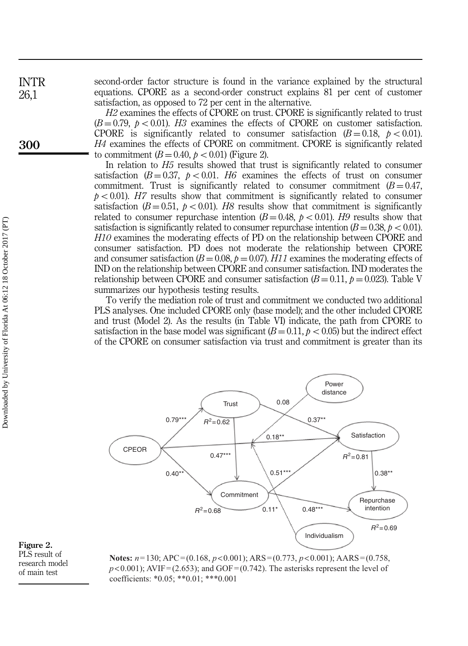second-order factor structure is found in the variance explained by the structural equations. CPORE as a second-order construct explains 81 per cent of customer satisfaction, as opposed to 72 per cent in the alternative.

H<sub>2</sub> examines the effects of CPORE on trust. CPORE is significantly related to trust  $(B = 0.79, p < 0.01)$ . H3 examines the effects of CPORE on customer satisfaction. CPORE is significantly related to consumer satisfaction  $(B = 0.18, p < 0.01)$ . H4 examines the effects of CPORE on commitment. CPORE is significantly related to commitment  $(B = 0.40, p < 0.01)$  (Figure 2).

In relation to H5 results showed that trust is significantly related to consumer satisfaction ( $B = 0.37$ ,  $p < 0.01$ . H6 examines the effects of trust on consumer commitment. Trust is significantly related to consumer commitment  $(B = 0.47$ ,  $p < 0.01$ ). H7 results show that commitment is significantly related to consumer satisfaction ( $B = 0.51$ ,  $p < 0.01$ ). H8 results show that commitment is significantly related to consumer repurchase intention  $(B = 0.48, p < 0.01)$ . H9 results show that satisfaction is significantly related to consumer repurchase intention  $(B = 0.38, p < 0.01)$ . H10 examines the moderating effects of PD on the relationship between CPORE and consumer satisfaction. PD does not moderate the relationship between CPORE and consumer satisfaction ( $B = 0.08$ ,  $p = 0.07$ ). H11 examines the moderating effects of IND on the relationship between CPORE and consumer satisfaction. IND moderates the relationship between CPORE and consumer satisfaction  $(B = 0.11, p = 0.023)$ . Table V summarizes our hypothesis testing results.

To verify the mediation role of trust and commitment we conducted two additional PLS analyses. One included CPORE only (base model); and the other included CPORE and trust (Model 2). As the results (in Table VI) indicate, the path from CPORE to satisfaction in the base model was significant  $(B = 0.11, p < 0.05)$  but the indirect effect of the CPORE on consumer satisfaction via trust and commitment is greater than its



Figure 2. PLS result of research model of main test

**Notes:** *n*=130; APC=(0.168, *p*<0.001); ARS=(0.773, *p*<0.001); AARS=(0.758,  $p$ <0.001); AVIF = (2.653); and GOF = (0.742). The asterisks represent the level of coefficients: \*0.05; \*\*0.01; \*\*\*0.001

INTR 26,1

300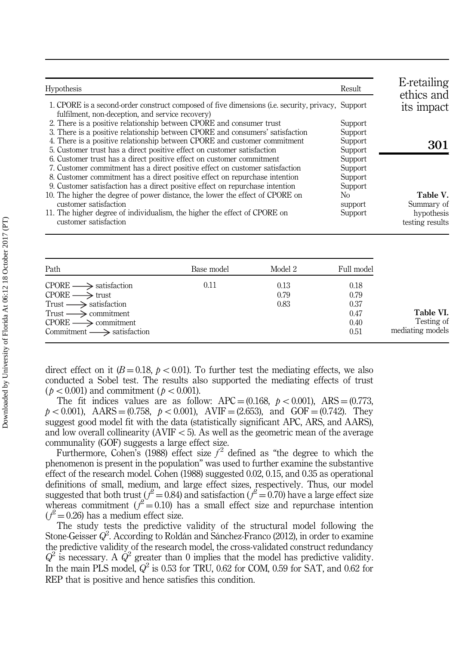| <b>Hypothesis</b>                                                                                                                                                                                                                                                                                                                                                                                                                                                                                            | Result                                                                | E-retailing<br>ethics and            |
|--------------------------------------------------------------------------------------------------------------------------------------------------------------------------------------------------------------------------------------------------------------------------------------------------------------------------------------------------------------------------------------------------------------------------------------------------------------------------------------------------------------|-----------------------------------------------------------------------|--------------------------------------|
| 1. CPORE is a second-order construct composed of five dimensions (i.e. security, privacy, Support<br>fulfilment, non-deception, and service recovery)                                                                                                                                                                                                                                                                                                                                                        |                                                                       | its impact                           |
| 2. There is a positive relationship between CPORE and consumer trust<br>3. There is a positive relationship between CPORE and consumers' satisfaction                                                                                                                                                                                                                                                                                                                                                        | Support<br>Support                                                    |                                      |
| 4. There is a positive relationship between CPORE and customer commitment<br>5. Customer trust has a direct positive effect on customer satisfaction                                                                                                                                                                                                                                                                                                                                                         | Support<br>Support                                                    | 301                                  |
| 6. Customer trust has a direct positive effect on customer commitment<br>7. Customer commitment has a direct positive effect on customer satisfaction<br>8. Customer commitment has a direct positive effect on repurchase intention<br>9. Customer satisfaction has a direct positive effect on repurchase intention<br>10. The higher the degree of power distance, the lower the effect of CPORE on<br>customer satisfaction<br>11. The higher degree of individualism, the higher the effect of CPORE on | Support<br>Support<br>Support<br>Support<br>No.<br>support<br>Support | Table V.<br>Summary of<br>hypothesis |
| customer satisfaction                                                                                                                                                                                                                                                                                                                                                                                                                                                                                        |                                                                       | testing results                      |

| Path                                      | Base model | Model 2 | Full model |                  |
|-------------------------------------------|------------|---------|------------|------------------|
| $CPORE \longrightarrow$ satisfaction      | 0.11       | 0.13    | 0.18       |                  |
| $CPORE \longrightarrow$ trust             |            | 0.79    | 0.79       |                  |
| Trust $\longrightarrow$ satisfaction      |            | 0.83    | 0.37       |                  |
| $Trust \longrightarrow \text{commitment}$ |            |         | 0.47       | Table VI.        |
| $CPORE \longrightarrow \text{commitment}$ |            |         | 0.40       | Testing of       |
| $Commitment \longrightarrow$ satisfaction |            |         | 0.51       | mediating models |

direct effect on it  $(B = 0.18, p < 0.01)$ . To further test the mediating effects, we also conducted a Sobel test. The results also supported the mediating effects of trust  $(p < 0.001)$  and commitment  $(p < 0.001)$ .

The fit indices values are as follow:  $APC = (0.168, \, p < 0.001)$ ,  $ARS = (0.773, \, p < 0.001)$  $p < 0.001$ ), AARS = (0.758,  $p < 0.001$ ), AVIF = (2.653), and GOF = (0.742). They suggest good model fit with the data (statistically significant APC, ARS, and AARS), and low overall collinearity (AVIF  $<$  5). As well as the geometric mean of the average communality (GOF) suggests a large effect size.

Furthermore, Cohen's (1988) effect size  $f^2$  defined as "the degree to which the phenomenon is present in the population" was used to further examine the substantive effect of the research model. Cohen (1988) suggested 0.02, 0.15, and 0.35 as operational definitions of small, medium, and large effect sizes, respectively. Thus, our model suggested that both trust ( $l^2 = 0.84$ ) and satisfaction ( $l^2 = 0.70$ ) have a large effect size whereas commitment ( $l^2 = 0.10$ ) has a small effect size and repurchase intention  $(\mathcal{P}=0.26)$  has a medium effect size.

The study tests the predictive validity of the structural model following the Stone-Geisser  $Q^2$ . According to Roldán and Sánchez-Franco (2012), in order to examine the predictive validity of the research model, the cross-validated construct redundancy  $Q^2$  is necessary. A  $Q^2$  greater than 0 implies that the model has predictive validity. In the main PLS model,  $Q^2$  is 0.53 for TRU, 0.62 for COM, 0.59 for SAT, and 0.62 for REP that is positive and hence satisfies this condition.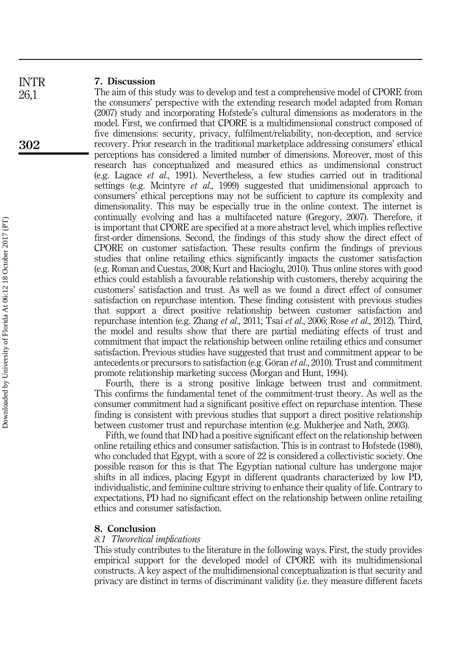#### 7. Discussion INTR

26,1

302

The aim of this study was to develop and test a comprehensive model of CPORE from the consumers' perspective with the extending research model adapted from Roman (2007) study and incorporating Hofstede's cultural dimensions as moderators in the model. First, we confirmed that CPORE is a multidimensional construct composed of five dimensions: security, privacy, fulfilment/reliability, non-deception, and service recovery. Prior research in the traditional marketplace addressing consumers' ethical perceptions has considered a limited number of dimensions. Moreover, most of this research has conceptualized and measured ethics as undimensional construct (e.g. Lagace et al., 1991). Nevertheless, a few studies carried out in traditional settings (e.g. Mcintyre *et al.*, 1999) suggested that unidimensional approach to consumers' ethical perceptions may not be sufficient to capture its complexity and dimensionality. This may be especially true in the online context. The internet is continually evolving and has a multifaceted nature (Gregory, 2007). Therefore, it is important that CPORE are specified at a more abstract level, which implies reflective first-order dimensions. Second, the findings of this study show the direct effect of CPORE on customer satisfaction. These results confirm the findings of previous studies that online retailing ethics significantly impacts the customer satisfaction (e.g. Roman and Cuestas, 2008; Kurt and Hacioglu, 2010). Thus online stores with good ethics could establish a favourable relationship with customers, thereby acquiring the customers' satisfaction and trust. As well as we found a direct effect of consumer satisfaction on repurchase intention. These finding consistent with previous studies that support a direct positive relationship between customer satisfaction and repurchase intention (e.g. Zhang et al., 2011; Tsai et al., 2006; Rose et al., 2012). Third, the model and results show that there are partial mediating effects of trust and commitment that impact the relationship between online retailing ethics and consumer satisfaction. Previous studies have suggested that trust and commitment appear to be antecedents or precursors to satisfaction (e.g. Göran et al., 2010). Trust and commitment promote relationship marketing success (Morgan and Hunt, 1994).

Fourth, there is a strong positive linkage between trust and commitment. This confirms the fundamental tenet of the commitment-trust theory. As well as the consumer commitment had a significant positive effect on repurchase intention. These finding is consistent with previous studies that support a direct positive relationship between customer trust and repurchase intention (e.g. Mukherjee and Nath, 2003).

Fifth, we found that IND had a positive significant effect on the relationship between online retailing ethics and consumer satisfaction. This is in contrast to Hofstede (1980), who concluded that Egypt, with a score of 22 is considered a collectivistic society. One possible reason for this is that The Egyptian national culture has undergone major shifts in all indices, placing Egypt in different quadrants characterized by low PD, individualistic, and feminine culture striving to enhance their quality of life. Contrary to expectations, PD had no significant effect on the relationship between online retailing ethics and consumer satisfaction.

#### 8. Conclusion

#### 8.1 Theoretical implications

This study contributes to the literature in the following ways. First, the study provides empirical support for the developed model of CPORE with its multidimensional constructs. A key aspect of the multidimensional conceptualization is that security and privacy are distinct in terms of discriminant validity (i.e. they measure different facets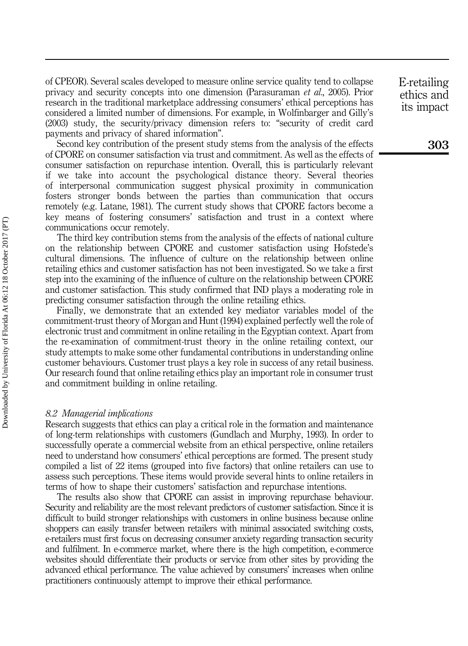of CPEOR). Several scales developed to measure online service quality tend to collapse privacy and security concepts into one dimension (Parasuraman et al., 2005). Prior research in the traditional marketplace addressing consumers' ethical perceptions has considered a limited number of dimensions. For example, in Wolfinbarger and Gilly's (2003) study, the security/privacy dimension refers to: "security of credit card payments and privacy of shared information".

Second key contribution of the present study stems from the analysis of the effects of CPORE on consumer satisfaction via trust and commitment. As well as the effects of consumer satisfaction on repurchase intention. Overall, this is particularly relevant if we take into account the psychological distance theory. Several theories of interpersonal communication suggest physical proximity in communication fosters stronger bonds between the parties than communication that occurs remotely (e.g. Latane, 1981). The current study shows that CPORE factors become a key means of fostering consumers' satisfaction and trust in a context where communications occur remotely.

The third key contribution stems from the analysis of the effects of national culture on the relationship between CPORE and customer satisfaction using Hofstede's cultural dimensions. The influence of culture on the relationship between online retailing ethics and customer satisfaction has not been investigated. So we take a first step into the examining of the influence of culture on the relationship between CPORE and customer satisfaction. This study confirmed that IND plays a moderating role in predicting consumer satisfaction through the online retailing ethics.

Finally, we demonstrate that an extended key mediator variables model of the commitment-trust theory of Morgan and Hunt (1994) explained perfectly well the role of electronic trust and commitment in online retailing in the Egyptian context. Apart from the re-examination of commitment-trust theory in the online retailing context, our study attempts to make some other fundamental contributions in understanding online customer behaviours. Customer trust plays a key role in success of any retail business. Our research found that online retailing ethics play an important role in consumer trust and commitment building in online retailing.

#### 8.2 Managerial implications

Research suggests that ethics can play a critical role in the formation and maintenance of long-term relationships with customers (Gundlach and Murphy, 1993). In order to successfully operate a commercial website from an ethical perspective, online retailers need to understand how consumers' ethical perceptions are formed. The present study compiled a list of 22 items (grouped into five factors) that online retailers can use to assess such perceptions. These items would provide several hints to online retailers in terms of how to shape their customers' satisfaction and repurchase intentions.

The results also show that CPORE can assist in improving repurchase behaviour. Security and reliability are the most relevant predictors of customer satisfaction. Since it is difficult to build stronger relationships with customers in online business because online shoppers can easily transfer between retailers with minimal associated switching costs, e-retailers must first focus on decreasing consumer anxiety regarding transaction security and fulfilment. In e-commerce market, where there is the high competition, e-commerce websites should differentiate their products or service from other sites by providing the advanced ethical performance. The value achieved by consumers' increases when online practitioners continuously attempt to improve their ethical performance.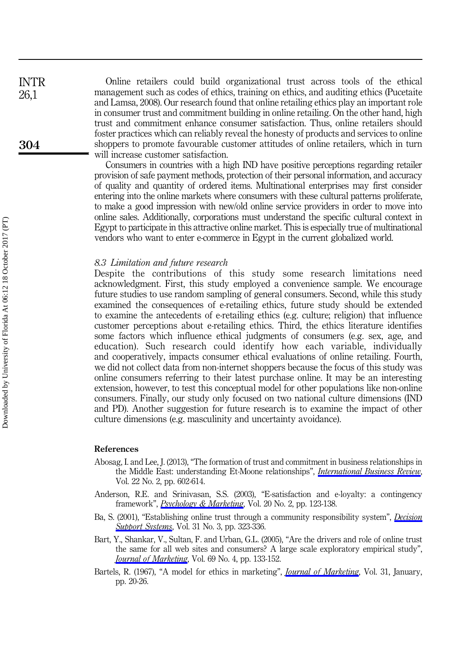Online retailers could build organizational trust across tools of the ethical management such as codes of ethics, training on ethics, and auditing ethics (Pucetaite and Lamsa, 2008). Our research found that online retailing ethics play an important role in consumer trust and commitment building in online retailing. On the other hand, high trust and commitment enhance consumer satisfaction. Thus, online retailers should foster practices which can reliably reveal the honesty of products and services to online shoppers to promote favourable customer attitudes of online retailers, which in turn will increase customer satisfaction.

Consumers in countries with a high IND have positive perceptions regarding retailer provision of safe payment methods, protection of their personal information, and accuracy of quality and quantity of ordered items. Multinational enterprises may first consider entering into the online markets where consumers with these cultural patterns proliferate, to make a good impression with new/old online service providers in order to move into online sales. Additionally, corporations must understand the specific cultural context in Egypt to participate in this attractive online market. This is especially true of multinational vendors who want to enter e-commerce in Egypt in the current globalized world.

#### 8.3 Limitation and future research

Despite the contributions of this study some research limitations need acknowledgment. First, this study employed a convenience sample. We encourage future studies to use random sampling of general consumers. Second, while this study examined the consequences of e-retailing ethics, future study should be extended to examine the antecedents of e-retailing ethics (e.g. culture; religion) that influence customer perceptions about e-retailing ethics. Third, the ethics literature identifies some factors which influence ethical judgments of consumers (e.g. sex, age, and education). Such research could identify how each variable, individually and cooperatively, impacts consumer ethical evaluations of online retailing. Fourth, we did not collect data from non-internet shoppers because the focus of this study was online consumers referring to their latest purchase online. It may be an interesting extension, however, to test this conceptual model for other populations like non-online consumers. Finally, our study only focused on two national culture dimensions (IND and PD). Another suggestion for future research is to examine the impact of other culture dimensions (e.g. masculinity and uncertainty avoidance).

#### References

- Abosag, I. and Lee, J. (2013), "The formation of trust and commitment in business relationships in the Middle East: understanding Et-Moone relationships", *[International Business Review](http://www.emeraldinsight.com/action/showLinks?doi=10.1108%2FIntR-10-2014-0244&crossref=10.1016%2Fj.ibusrev.2012.09.002&isi=000317636000009&citationId=p_1)*, Vol. 22 No. 2, pp. 602-614.
- Anderson, R.E. and Srinivasan, S.S. (2003), "E-satisfaction and e-loyalty: a contingency framework", [Psychology & Marketing](http://www.emeraldinsight.com/action/showLinks?doi=10.1108%2FIntR-10-2014-0244&crossref=10.1002%2Fmar.10063&isi=000180775300003&citationId=p_2), Vol. 20 No. 2, pp. 123-138.
- Ba, S. (2001), "Establishing online trust through a community responsibility system", *[Decision](http://www.emeraldinsight.com/action/showLinks?doi=10.1108%2FIntR-10-2014-0244&crossref=10.1016%2FS0167-9236%2800%2900144-5&isi=000169714700004&citationId=p_3)* **[Support Systems](http://www.emeraldinsight.com/action/showLinks?doi=10.1108%2FIntR-10-2014-0244&crossref=10.1016%2FS0167-9236%2800%2900144-5&isi=000169714700004&citationId=p_3), Vol. 31 No. 3, pp. 323-336.**
- Bart, Y., Shankar, V., Sultan, F. and Urban, G.L. (2005), "Are the drivers and role of online trust the same for all web sites and consumers? A large scale exploratory empirical study", **[Journal of Marketing](http://www.emeraldinsight.com/action/showLinks?doi=10.1108%2FIntR-10-2014-0244&crossref=10.1509%2Fjmkg.2005.69.4.133&isi=000232380900008&citationId=p_4), Vol. 69 No. 4, pp. 133-152.**
- Bartels, R. (1967), "A model for ethics in marketing", *[Journal of Marketing](http://www.emeraldinsight.com/action/showLinks?doi=10.1108%2FIntR-10-2014-0244&crossref=10.2307%2F1249296&isi=A1967ZD51800005&citationId=p_5)*, Vol. 31, January, pp. 20-26.

INTR 26,1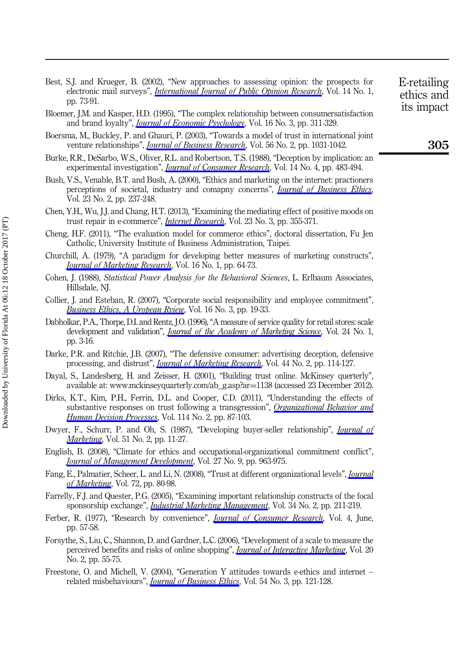- Best, S.J. and Krueger, B. (2002), "New approaches to assessing opinion: the prospects for electronic mail surveys", *[International Journal of Public Opinion Research](http://www.emeraldinsight.com/action/showLinks?doi=10.1108%2FIntR-10-2014-0244&crossref=10.1093%2Fijpor%2F14.1.73&isi=000174281600006&citationId=p_6)*, Vol. 14 No. 1, pp. 73-91.
- Bloemer, J.M. and Kasper, H.D. (1995), "The complex relationship between consumersatisfaction and brand loyalty", *[Journal of Economic Psychology](http://www.emeraldinsight.com/action/showLinks?doi=10.1108%2FIntR-10-2014-0244&crossref=10.1016%2F0167-4870%2895%2900007-B&isi=A1995RK71900007&citationId=p_7)*, Vol. 16 No. 3, pp. 311-329.
- Boersma, M., Buckley, P. and Ghauri, P. (2003), "Towards a model of trust in international joint venture relationships", *[Journal of Business Research](http://www.emeraldinsight.com/action/showLinks?doi=10.1108%2FIntR-10-2014-0244&crossref=10.1016%2FS0148-2963%2801%2900315-0&isi=000186224800011&citationId=p_8)*, Vol. 56 No. 2, pp. 1031-1042.
- Burke, R.R., DeSarbo, W.S., Oliver, R.L. and Robertson, T.S. (1988), "Deception by implication: an experimental investigation", *[Journal of Consumer Research](http://www.emeraldinsight.com/action/showLinks?doi=10.1108%2FIntR-10-2014-0244&crossref=10.1086%2F209130&isi=A1988M831800003&citationId=p_9)*, Vol. 14 No. 4, pp. 483-494.
- Bush, V.S., Venable, B.T. and Bush, A. (2000), "Ethics and marketing on the internet: practioners perceptions of societal, industry and comapny concerns", *[Journal of Business Ethics](http://www.emeraldinsight.com/action/showLinks?doi=10.1108%2FIntR-10-2014-0244&crossref=10.1023%2FA%3A1006202107464&isi=000084517100002&citationId=p_10)*, Vol. 23 No. 2, pp. 237-248.
- Chen, Y.H., Wu, J.J. and Chang, H.T. (2013), "Examining the mediating effect of positive moods on trust repair in e-commerce", *[Internet Research](http://www.emeraldinsight.com/action/showLinks?doi=10.1108%2FIntR-10-2014-0244&system=10.1108%2F10662241311331772&isi=000319893700005&citationId=p_11)*, Vol. 23 No. 3, pp. 355-371.
- Cheng, H.F. (2011), "The evaluation model for commerce ethics", doctoral dissertation, Fu Jen Catholic, University Institute of Business Administration, Taipei.
- Churchill, A. (1979), "A paradigm for developing better measures of marketing constructs", **[Journal of Marketing Research](http://www.emeraldinsight.com/action/showLinks?doi=10.1108%2FIntR-10-2014-0244&crossref=10.2307%2F3150876&isi=A1979GK74400010&citationId=p_13)**, Vol. 16 No. 1, pp. 64-73.
- Cohen, J. (1988), Statistical Power Analysis for the Behavioral Sciences, L. Erlbaum Associates, Hillsdale, NJ.
- Collier, J. and Esteban, R. (2007), "Corporate social responsibility and employee commitment", [Business Ethics, A Uropean Rview](http://www.emeraldinsight.com/action/showLinks?doi=10.1108%2FIntR-10-2014-0244&crossref=10.1111%2Fj.1467-8608.2006.00466.x&citationId=p_15), Vol. 16 No. 3, pp. 19-33.
- Dabholkar, P.A., Thorpe, D.I. and Rentz, J.O. (1996), "A measure of service quality for retail stores: scale development and validation", *[Journal of the Academy of Marketing Science](http://www.emeraldinsight.com/action/showLinks?doi=10.1108%2FIntR-10-2014-0244&crossref=10.1007%2FBF02893933&citationId=p_16)*, Vol. 24 No. 1, pp. 3-16.
- Darke, P.R. and Ritchie, J.B. (2007), "The defensive consumer: advertising deception, defensive processing, and distrust", *[Journal of Marketing Research](http://www.emeraldinsight.com/action/showLinks?doi=10.1108%2FIntR-10-2014-0244&crossref=10.1509%2Fjmkr.44.1.114&isi=000244158500013&citationId=p_17)*, Vol. 44 No. 2, pp. 114-127.
- Dayal, S., Landesberg, H. and Zeisser, H. (2001), "Building trust online. McKinsey querterly", available at: [www.mckinseyquarterly.com/ab\\_g.asp?ar](www.mckinseyquarterly.com/ab_g.asp?ar�=�1138)=[1138](www.mckinseyquarterly.com/ab_g.asp?ar�=�1138) (accessed 23 December 2012).
- Dirks, K.T., Kim, P.H., Ferrin, D.L. and Cooper, C.D. (2011), "Understanding the effects of substantive responses on trust following a transgression", [Organizational Behavior and](http://www.emeraldinsight.com/action/showLinks?doi=10.1108%2FIntR-10-2014-0244&crossref=10.1016%2Fj.obhdp.2010.10.003&isi=000287470700002&citationId=p_19) [Human Decision Processes](http://www.emeraldinsight.com/action/showLinks?doi=10.1108%2FIntR-10-2014-0244&crossref=10.1016%2Fj.obhdp.2010.10.003&isi=000287470700002&citationId=p_19), Vol. 114 No. 2, pp. 87-103.
- Dwyer, F., Schurr, P. and Oh, S. (1987), "Developing buyer-seller relationship", *[Journal of](http://www.emeraldinsight.com/action/showLinks?doi=10.1108%2FIntR-10-2014-0244&crossref=10.2307%2F1251126&isi=A1987H091500002&citationId=p_20) [Marketing](http://www.emeraldinsight.com/action/showLinks?doi=10.1108%2FIntR-10-2014-0244&crossref=10.2307%2F1251126&isi=A1987H091500002&citationId=p_20)*, Vol. 51 No. 2, pp. 11-27.
- English, B. (2008), "Climate for ethics and occupational-organizational commitment conflict", **[Journal of Management Development](http://www.emeraldinsight.com/action/showLinks?doi=10.1108%2FIntR-10-2014-0244&system=10.1108%2F02621710810901309&citationId=p_21)**, Vol. 27 No. 9, pp. 963-975.
- Fang, E., Palmatier, Scheer, L. and Li, N. (2008), "Trust at different organizational levels", *[Journal](http://www.emeraldinsight.com/action/showLinks?doi=10.1108%2FIntR-10-2014-0244&crossref=10.1509%2Fjmkg.72.2.80&isi=000254009400009&citationId=p_22)* [of Marketing](http://www.emeraldinsight.com/action/showLinks?doi=10.1108%2FIntR-10-2014-0244&crossref=10.1509%2Fjmkg.72.2.80&isi=000254009400009&citationId=p_22), Vol. 72, pp. 80-98.
- Farrelly, F.J. and Quester, P.G. (2005), "Examining important relationship constructs of the focal sponsorship exchange", *[Industrial Marketing Management](http://www.emeraldinsight.com/action/showLinks?doi=10.1108%2FIntR-10-2014-0244&crossref=10.1016%2Fj.indmarman.2004.09.003&isi=000228840600004&citationId=p_23)*, Vol. 34 No. 2, pp. 211-219.
- Ferber, R. (1977), "Research by convenience", *[Journal of Consumer Research](http://www.emeraldinsight.com/action/showLinks?doi=10.1108%2FIntR-10-2014-0244&crossref=10.1086%2F208679&isi=A1977DL14300007&citationId=p_24)*, Vol. 4, June, pp. 57-58.
- Forsythe, S., Liu, C., Shannon, D. and Gardner, L.C. (2006), "Development of a scale to measure the perceived benefits and risks of online shopping", *[Journal of Interactive Marketing](http://www.emeraldinsight.com/action/showLinks?doi=10.1108%2FIntR-10-2014-0244&crossref=10.1002%2Fdir.20061&citationId=p_25)*, Vol. 20 No. 2, pp. 55-75.
- Freestone, O. and Michell, V. (2004), "Generation Y attitudes towards e-ethics and internet related misbehaviours", *[Journal of Business Ethics](http://www.emeraldinsight.com/action/showLinks?doi=10.1108%2FIntR-10-2014-0244&crossref=10.1007%2Fs10551-004-1571-0&isi=000224702500002&citationId=p_26)*, Vol. 54 No. 3, pp. 121-128.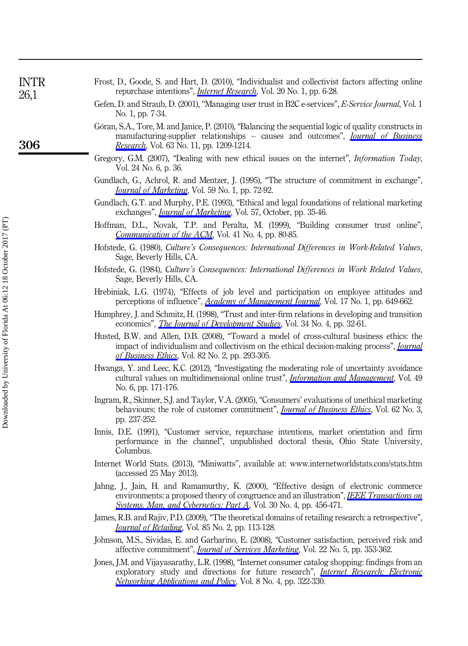| <b>INTR</b><br>26,1 | Frost, D., Goode, S. and Hart, D. (2010), "Individualist and collectivist factors affecting online<br>repurchase intentions", <i>Internet Research</i> , Vol. 20 No. 1, pp. 6-28.                                                                  |
|---------------------|----------------------------------------------------------------------------------------------------------------------------------------------------------------------------------------------------------------------------------------------------|
|                     | Gefen, D. and Straub, D. (2001), "Managing user trust in B2C e-services", E-Service Journal, Vol. 1<br>No. 1, pp. 7-34.                                                                                                                            |
| 306                 | Göran, S.A., Tore, M. and Janice, P. (2010), "Balancing the sequential logic of quality constructs in<br>manufacturing-supplier relationships – causes and outcomes", <i>Journal of Business</i><br>Research, Vol. 63 No. 11, pp. 1209-1214.       |
|                     | Gregory, G.M. (2007), "Dealing with new ethical issues on the internet", <i>Information Today</i> ,<br>Vol. 24 No. 6, p. 36.                                                                                                                       |
|                     | Gundlach, G., Achrol, R. and Mentzer, J. (1995), "The structure of commitment in exchange",<br><i>Journal of Marketing</i> , Vol. 59 No. 1, pp. 72-92.                                                                                             |
|                     | Gundlach, G.T. and Murphy, P.E. (1993), "Ethical and legal foundations of relational marketing<br>exchanges", <i>Journal of Marketing</i> , Vol. 57, October, pp. 35-46.                                                                           |
|                     | Hoffman, D.L., Novak, T.P. and Peralta, M. (1999), "Building consumer trust online",<br>Communication of the ACM, Vol. 41 No. 4, pp. 80-85.                                                                                                        |
|                     | Hofstede, G. (1980), <i>Culture's Consequences: International Differences in Work-Related Values</i> ,<br>Sage, Beverly Hills, CA.                                                                                                                 |
|                     | Hofstede, G. (1984), Culture's Consequences: International Differences in Work Related Values,<br>Sage, Beverly Hills, CA.                                                                                                                         |
|                     | Hrebiniak, L.G. (1974), "Effects of job level and participation on employee attitudes and<br>perceptions of influence", <i>Academy of Management Journal</i> , Vol. 17 No. 1, pp. 649-662.                                                         |
|                     | Humphrey, J. and Schmitz, H. (1998), "Trust and inter-firm relations in developing and transition<br>economics", <i>The Journal of Development Studies</i> , Vol. 34 No. 4, pp. 32-61.                                                             |
|                     | Husted, B.W. and Allen, D.B. (2008), "Toward a model of cross-cultural business ethics: the<br>impact of individualism and collectivism on the ethical decision-making process", <i>Journal</i><br>of Business Ethics, Vol. 82 No. 2, pp. 293-305. |
|                     | Hwanga, Y. and Leec, K.C. (2012), "Investigating the moderating role of uncertainty avoidance<br>cultural values on multidimensional online trust", <i>Information and Management</i> , Vol. 49                                                    |

No. 6, pp. 171-176. Ingram, R., Skinner, S.J. and Taylor, V.A. (2005), "Consumers' evaluations of unethical marketing behaviours: the role of customer commitment", *[Journal of Business Ethics](http://www.emeraldinsight.com/action/showLinks?doi=10.1108%2FIntR-10-2014-0244&crossref=10.1007%2Fs10551-005-1899-0&isi=000233873500003&citationId=p_40)*, Vol. 62 No. 3,

pp. 237-252.

Downloaded by University of Florida At 06:12 18 October 2017 (PT) Downloaded by University of Florida At 06:12 18 October 2017 (PT)

- Innis, D.E. (1991), "Customer service, repurchase intentions, market orientation and firm performance in the channel", unpublished doctoral thesis, Ohio State University, Columbus.
- Internet World Stats. (2013), "Miniwatts", available at:<www.internetworldstats.com/stats.htm> (accessed 25 May 2013).
- Jahng, J., Jain, H. and Ramamurthy, K. (2000), "Effective design of electronic commerce environments: a proposed theory of congruence and an illustration", [IEEE Transactions on](http://www.emeraldinsight.com/action/showLinks?doi=10.1108%2FIntR-10-2014-0244&crossref=10.1109%2F3468.852439&isi=000088379100007&citationId=p_43) Systems. Man. and Cybernetics: Part A, Vol. 30 No. 4, pp. 456-471.
- James, R.B. and Rajiv, P.D. (2009), "The theoretical domains of retailing research: a retrospective", [Journal of Retailing](http://www.emeraldinsight.com/action/showLinks?doi=10.1108%2FIntR-10-2014-0244&crossref=10.1016%2Fj.jretai.2009.04.003&isi=000267624400001&citationId=p_44), Vol. 85 No. 2, pp. 113-128.
- Johnson, M.S., Sividas, E. and Garbarino, E. (2008), "Customer satisfaction, perceived risk and affective commitment", *[Journal of Services Marketing](http://www.emeraldinsight.com/action/showLinks?doi=10.1108%2FIntR-10-2014-0244&system=10.1108%2F08876040810889120&citationId=p_45)*, Vol. 22 No. 5, pp. 353-362.
- Jones, J.M. and Vijayasarathy, L.R. (1998), "Internet consumer catalog shopping: findings from an exploratory study and directions for future research", *[Internet Research: Electronic](http://www.emeraldinsight.com/action/showLinks?doi=10.1108%2FIntR-10-2014-0244&system=10.1108%2F10662249810231069&isi=000076359100005&citationId=p_46)* [Networking Applications and Policy](http://www.emeraldinsight.com/action/showLinks?doi=10.1108%2FIntR-10-2014-0244&system=10.1108%2F10662249810231069&isi=000076359100005&citationId=p_46), Vol. 8 No. 4, pp. 322-330.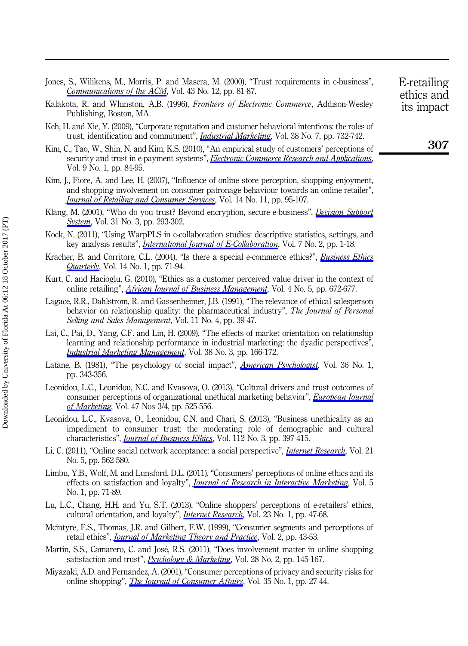|  |                                                               |  |  |  |  | Jones, S., Wilikens, M., Morris, P. and Masera, M. (2000), "Trust requirements in e-business", |  |
|--|---------------------------------------------------------------|--|--|--|--|------------------------------------------------------------------------------------------------|--|
|  | <i>Communications of the ACM</i> , Vol. 43 No. 12, pp. 81-87. |  |  |  |  |                                                                                                |  |

- Kalakota, R. and Whinston, A.B. (1996), Frontiers of Electronic Commerce, Addison-Wesley Publishing, Boston, MA.
- Keh, H. and Xie, Y. (2009), "Corporate reputation and customer behavioral intentions: the roles of trust, identification and commitment", *[Industrial Marketing](http://www.emeraldinsight.com/action/showLinks?doi=10.1108%2FIntR-10-2014-0244&crossref=10.1016%2Fj.indmarman.2008.02.005&isi=000271334200004&citationId=p_49)*, Vol. 38 No. 7, pp. 732-742.
- Kim, C., Tao, W., Shin, N. and Kim, K.S. (2010), "An empirical study of customers' perceptions of security and trust in e-payment systems", [Electronic Commerce Research and Applications](http://www.emeraldinsight.com/action/showLinks?doi=10.1108%2FIntR-10-2014-0244&crossref=10.1016%2Fj.elerap.2009.04.014&isi=000273673000012&citationId=p_50), Vol. 9 No. 1, pp. 84-95.
- Kim, J., Fiore, A. and Lee, H. (2007), "Influence of online store perception, shopping enjoyment, and shopping involvement on consumer patronage behaviour towards an online retailer", [Journal of Retailing and Consumer Services](http://www.emeraldinsight.com/action/showLinks?doi=10.1108%2FIntR-10-2014-0244&crossref=10.1016%2Fj.jretconser.2006.05.001&citationId=p_51), Vol. 14 No. 11, pp. 95-107.
- Klang, M. (2001), "Who do you trust? Beyond encryption, secure e-business", *[Decision Support](http://www.emeraldinsight.com/action/showLinks?doi=10.1108%2FIntR-10-2014-0244&crossref=10.1016%2FS0167-9236%2800%2900140-8&isi=000169714700002&citationId=p_52)* [System](http://www.emeraldinsight.com/action/showLinks?doi=10.1108%2FIntR-10-2014-0244&crossref=10.1016%2FS0167-9236%2800%2900140-8&isi=000169714700002&citationId=p_52), Vol. 31 No. 3, pp. 293-302.
- Kock, N. (2011), "Using WarpPLS in e-collaboration studies: descriptive statistics, settings, and key analysis results", *[International Journal of E-Collaboration](http://www.emeraldinsight.com/action/showLinks?doi=10.1108%2FIntR-10-2014-0244&crossref=10.4018%2Fjec.2011040101&citationId=p_53)*, Vol. 7 No. 2, pp. 1-18.
- Kracher, B. and Corritore, C.L. (2004), "Is there a special e-commerce ethics?", [Business Ethics](http://www.emeraldinsight.com/action/showLinks?doi=10.1108%2FIntR-10-2014-0244&crossref=10.5840%2Fbeq20041417&isi=000188799900004&citationId=p_54) **[Quarterly](http://www.emeraldinsight.com/action/showLinks?doi=10.1108%2FIntR-10-2014-0244&crossref=10.5840%2Fbeq20041417&isi=000188799900004&citationId=p_54)**, Vol. 14 No. 1, pp. 71-94.
- Kurt, C. and Hacioglu, G. (2010), "Ethics as a customer perceived value driver in the context of online retailing", *[African Journal of Business Management](http://www.emeraldinsight.com/action/showLinks?doi=10.1108%2FIntR-10-2014-0244&isi=000277613700014&citationId=p_55)*, Vol. 4 No. 5, pp. 672-677.
- Lagace, R.R., Dahlstrom, R. and Gassenheimer, J.B. (1991), "The relevance of ethical salesperson behavior on relationship quality: the pharmaceutical industry", The Journal of Personal Selling and Sales Management, Vol. 11 No. 4, pp. 39-47.
- Lai, C., Pai, D., Yang, C.F. and Lin, H. (2009), "The effects of market orientation on relationship learning and relationship performance in industrial marketing: the dyadic perspectives", [Industrial Marketing Management](http://www.emeraldinsight.com/action/showLinks?doi=10.1108%2FIntR-10-2014-0244&crossref=10.1016%2Fj.indmarman.2008.12.004&isi=000264917600005&citationId=p_57), Vol. 38 No. 3, pp. 166-172.
- Latane, B. (1981), "The psychology of social impact", *[American Psychologist](http://www.emeraldinsight.com/action/showLinks?doi=10.1108%2FIntR-10-2014-0244&crossref=10.1037%2F0003-066X.36.4.343&isi=A1981LM40200002&citationId=p_58)*, Vol. 36 No. 1, pp. 343-356.
- Leonidou, L.C., Leonidou, N.C. and Kvasova, O. (2013), "Cultural drivers and trust outcomes of consumer perceptions of organizational unethical marketing behavior", *[European Journal](http://www.emeraldinsight.com/action/showLinks?doi=10.1108%2FIntR-10-2014-0244&system=10.1108%2F03090561311297445&isi=000317798200008&citationId=p_59)* [of Marketing](http://www.emeraldinsight.com/action/showLinks?doi=10.1108%2FIntR-10-2014-0244&system=10.1108%2F03090561311297445&isi=000317798200008&citationId=p_59), Vol. 47 Nos 3/4, pp. 525-556.
- Leonidou, L.C., Kvasova, O., Leonidou, C.N. and Chari, S. (2013), "Business unethicality as an impediment to consumer trust: the moderating role of demographic and cultural characteristics", *[Journal of Business Ethics](http://www.emeraldinsight.com/action/showLinks?doi=10.1108%2FIntR-10-2014-0244&crossref=10.1007%2Fs10551-012-1267-9&isi=000313955100003&citationId=p_60)*, Vol. 112 No. 3, pp. 397-415.
- Li, C. (2011), "Online social network acceptance: a social perspective", *[Internet Research](http://www.emeraldinsight.com/action/showLinks?doi=10.1108%2FIntR-10-2014-0244&system=10.1108%2F10662241111176371&isi=000297600100004&citationId=p_61)*, Vol. 21 No. 5, pp. 562-580.
- Limbu, Y.B., Wolf, M. and Lunsford, D.L. (2011), "Consumers' perceptions of online ethics and its effects on satisfaction and loyalty", *[Journal of Research in Interactive Marketing](http://www.emeraldinsight.com/action/showLinks?doi=10.1108%2FIntR-10-2014-0244&system=10.1108%2F17505931111121534&citationId=p_62)*, Vol. 5 No. 1, pp. 71-89.
- Lu, L.C., Chang, H.H. and Yu, S.T. (2013), "Online shoppers' perceptions of e-retailers' ethics, cultural orientation, and loyalty", *[Internet Research](http://www.emeraldinsight.com/action/showLinks?doi=10.1108%2FIntR-10-2014-0244&system=10.1108%2F10662241311295773&isi=000315014600003&citationId=p_63)*, Vol. 23 No. 1, pp. 47-68.
- Mcintyre, F.S., Thomas, J.R. and Gilbert, F.W. (1999), "Consumer segments and perceptions of retail ethics", *[Journal of Marketing Theory and Practice](http://www.emeraldinsight.com/action/showLinks?doi=10.1108%2FIntR-10-2014-0244&crossref=10.1080%2F10696679.1999.11501828&citationId=p_64)*, Vol. 2, pp. 43-53.
- Martín, S.S., Camarero, C. and José, R.S. (2011), "Does involvement matter in online shopping satisfaction and trust", *[Psychology & Marketing](http://www.emeraldinsight.com/action/showLinks?doi=10.1108%2FIntR-10-2014-0244&crossref=10.1002%2Fmar.20384&isi=000286355700002&citationId=p_65)*, Vol. 28 No. 2, pp. 145-167.
- Miyazaki, A.D. and Fernandez, A. (2001), "Consumer perceptions of privacy and security risks for online shopping", *[The Journal of Consumer Affairs](http://www.emeraldinsight.com/action/showLinks?doi=10.1108%2FIntR-10-2014-0244&crossref=10.1111%2Fj.1745-6606.2001.tb00101.x&isi=000173229200002&citationId=p_66)*, Vol. 35 No. 1, pp. 27-44.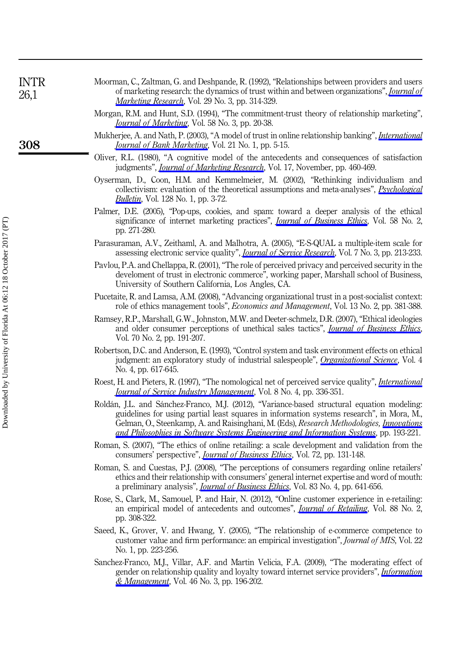| INTR<br>26,1 | Moorman, C., Zaltman, G. and Deshpande, R. (1992), "Relationships between providers and users<br>of marketing research: the dynamics of trust within and between organizations", <i>Journal of</i><br><i>Marketing Research</i> , Vol. 29 No. 3, pp. 314-329.<br>Morgan, R.M. and Hunt, S.D. (1994), "The commitment-trust theory of relationship marketing" |
|--------------|--------------------------------------------------------------------------------------------------------------------------------------------------------------------------------------------------------------------------------------------------------------------------------------------------------------------------------------------------------------|
|              | <i>Journal of Marketing</i> , Vol. 58 No. 3, pp. 20-38.<br>Mukherjee, A. and Nath, P. (2003), "A model of trust in online relationship banking", <i>International</i>                                                                                                                                                                                        |
| 308          | <i>Journal of Bank Marketing</i> , Vol. 21 No. 1, pp. 5-15.<br>$Oliver$ PI $(1080)$ "A computive model of the entergodents and consequences of setisfaction                                                                                                                                                                                                  |

- Oliver, R.L. (1980), "A cognitive model of the antecedents and consequences of satisfaction judgments", *[Journal of Marketing Research](http://www.emeraldinsight.com/action/showLinks?doi=10.1108%2FIntR-10-2014-0244&crossref=10.2307%2F3150499&isi=A1980KR80300005&citationId=p_70)*, Vol. 17, November, pp. 460-469.
- Oyserman, D., Coon, H.M. and Kemmelmeier, M. (2002), "Rethinking individualism and collectivism: evaluation of the theoretical assumptions and meta-analyses", *[Psychological](http://www.emeraldinsight.com/action/showLinks?doi=10.1108%2FIntR-10-2014-0244&crossref=10.1037%2F0033-2909.128.1.3&isi=000173714500001&citationId=p_71)* **[Bulletin](http://www.emeraldinsight.com/action/showLinks?doi=10.1108%2FIntR-10-2014-0244&crossref=10.1037%2F0033-2909.128.1.3&isi=000173714500001&citationId=p_71)**, Vol. 128 No. 1, pp. 3-72.
- Palmer, D.E. (2005), "Pop-ups, cookies, and spam: toward a deeper analysis of the ethical significance of internet marketing practices", *[Journal of Business Ethics](http://www.emeraldinsight.com/action/showLinks?doi=10.1108%2FIntR-10-2014-0244&crossref=10.1007%2Fs10551-005-1421-8&isi=000229641600025&citationId=p_72)*, Vol. 58 No. 2, pp. 271-280.
- Parasuraman, A.V., Zeithaml, A. and Malhotra, A. (2005), "E-S-QUAL a multiple-item scale for assessing electronic service quality", *[Journal of Service Research](http://www.emeraldinsight.com/action/showLinks?doi=10.1108%2FIntR-10-2014-0244&crossref=10.1177%2F1094670504271156&isi=000228333800001&citationId=p_73)*, Vol. 7 No. 3, pp. 213-233.
- Pavlou, P.A. and Chellappa, R. (2001), "The role of perceived privacy and perceived security in the develoment of trust in electronic commerce", working paper, Marshall school of Business, University of Southern California, Los Angles, CA.
- Pucetaite, R. and Lamsa, A.M. (2008), "Advancing organizational trust in a post-socialist context: role of ethics management tools", Economics and Management, Vol. 13 No. 2, pp. 381-388.
- Ramsey, R.P., Marshall, G.W., Johnston, M.W. and Deeter-schmelz, D.R. (2007), "Ethical ideologies and older consumer perceptions of unethical sales tactics", *[Journal of Business Ethics](http://www.emeraldinsight.com/action/showLinks?doi=10.1108%2FIntR-10-2014-0244&crossref=10.1007%2Fs10551-006-9105-6&isi=000243324100007&citationId=p_76)*, Vol. 70 No. 2, pp. 191-207.
- Robertson, D.C. and Anderson, E. (1993), "Control system and task environment effects on ethical judgment: an exploratory study of industrial salespeople", [Organizational Science](http://www.emeraldinsight.com/action/showLinks?doi=10.1108%2FIntR-10-2014-0244&crossref=10.1287%2Forsc.4.4.617&isi=A1993MM31900007&citationId=p_77), Vol. 4 No. 4, pp. 617-645.
- Roest, H. and Pieters, R. (1997), "The nomological net of perceived service quality", *[International](http://www.emeraldinsight.com/action/showLinks?doi=10.1108%2FIntR-10-2014-0244&system=10.1108%2F09564239710174408&isi=A1997XZ52600011&citationId=p_78)* **[Journal of Service Industry Management](http://www.emeraldinsight.com/action/showLinks?doi=10.1108%2FIntR-10-2014-0244&system=10.1108%2F09564239710174408&isi=A1997XZ52600011&citationId=p_78)**, Vol. 8 No. 4, pp. 336-351.
- Roldán, J.L. and Sánchez-Franco, M.J. (2012), "Variance-based structural equation modeling: guidelines for using partial least squares in information systems research", in Mora, M., Gelman, O., Steenkamp, A. and Raisinghani, M. (Eds), *Research Methodologies, [Innovations](http://www.emeraldinsight.com/action/showLinks?doi=10.1108%2FIntR-10-2014-0244&crossref=10.4018%2F978-1-4666-0179-6.ch010&citationId=p_79)* [and Philosophies in Software Systems Engineering and Information Systems](http://www.emeraldinsight.com/action/showLinks?doi=10.1108%2FIntR-10-2014-0244&crossref=10.4018%2F978-1-4666-0179-6.ch010&citationId=p_79), pp. 193-221.
- Roman, S. (2007), "The ethics of online retailing: a scale development and validation from the consumers' perspective", *[Journal of Business Ethics](http://www.emeraldinsight.com/action/showLinks?doi=10.1108%2FIntR-10-2014-0244&crossref=10.1007%2Fs10551-006-9161-y&isi=000245269200003&citationId=p_80)*, Vol. 72, pp. 131-148.
- Roman, S. and Cuestas, P.J. (2008), "The perceptions of consumers regarding online retailers' ethics and their relationship with consumers' general internet expertise and word of mouth: a preliminary analysis", *[Journal of Business Ethics](http://www.emeraldinsight.com/action/showLinks?doi=10.1108%2FIntR-10-2014-0244&crossref=10.1007%2Fs10551-007-9645-4&isi=000260617500004&citationId=p_81)*, Vol. 83 No. 4, pp. 641-656.
- Rose, S., Clark, M., Samouel, P. and Hair, N. (2012), "Online customer experience in e-retailing: an empirical model of antecedents and outcomes", *[Journal of Retailing](http://www.emeraldinsight.com/action/showLinks?doi=10.1108%2FIntR-10-2014-0244&crossref=10.1016%2Fj.jretai.2012.03.001&isi=000306163800010&citationId=p_82)*, Vol. 88 No. 2, pp. 308-322.
- Saeed, K., Grover, V. and Hwang, Y. (2005), "The relationship of e-commerce competence to customer value and firm performance: an empirical investigation", Journal of MIS, Vol. 22 No. 1, pp. 223-256.
- Sanchez-Franco, M.J., Villar, A.F. and Martin Velicia, F.A. (2009), "The moderating effect of gender on relationship quality and loyalty toward internet service providers", [Information](http://www.emeraldinsight.com/action/showLinks?doi=10.1108%2FIntR-10-2014-0244&crossref=10.1016%2Fj.im.2009.02.001&isi=000265516600007&citationId=p_84) [& Management](http://www.emeraldinsight.com/action/showLinks?doi=10.1108%2FIntR-10-2014-0244&crossref=10.1016%2Fj.im.2009.02.001&isi=000265516600007&citationId=p_84), Vol. 46 No. 3, pp. 196-202.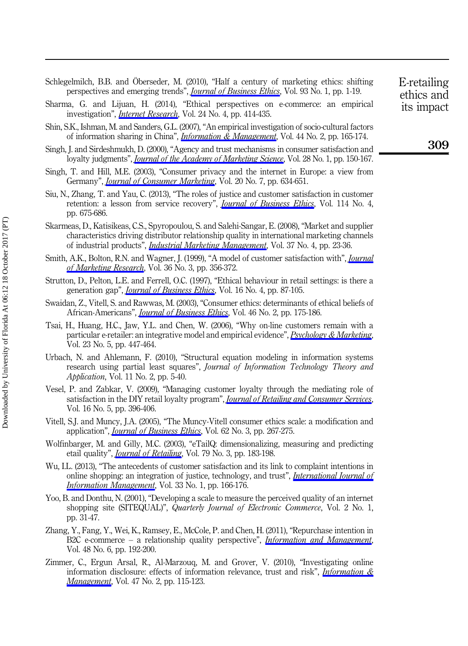Schlegelmilch, B.B. and Öberseder, M. (2010), "Half a century of marketing ethics: shifting perspectives and emerging trends", *[Journal of Business Ethics](http://www.emeraldinsight.com/action/showLinks?doi=10.1108%2FIntR-10-2014-0244&crossref=10.1007%2Fs10551-009-0182-1&isi=000275991400001&citationId=p_85)*, Vol. 93 No. 1, pp. 1-19.

Sharma, G. and Lijuan, H. (2014), "Ethical perspectives on e-commerce: an empirical investigation", *[Internet Research](http://www.emeraldinsight.com/action/showLinks?doi=10.1108%2FIntR-10-2014-0244&system=10.1108%2FIntR-07-2013-0162&isi=000341887300001&citationId=p_86)*, Vol. 24 No. 4, pp. 414-435.

- Shin, S.K., Ishman, M. and Sanders, G.L. (2007), "An empirical investigation of socio-cultural factors of information sharing in China", *[Information & Management](http://www.emeraldinsight.com/action/showLinks?doi=10.1108%2FIntR-10-2014-0244&crossref=10.1016%2Fj.im.2006.11.004&isi=000245067300005&citationId=p_87)*, Vol. 44 No. 2, pp. 165-174.
- Singh, J. and Sirdeshmukh, D. (2000), "Agency and trust mechanisms in consumer satisfaction and loyalty judgments", *[Journal of the Academy of Marketing Science](http://www.emeraldinsight.com/action/showLinks?doi=10.1108%2FIntR-10-2014-0244&crossref=10.1177%2F0092070300281014&isi=000084543900014&citationId=p_88)*, Vol. 28 No. 1, pp. 150-167.
- Singh, T. and Hill, M.E. (2003), "Consumer privacy and the internet in Europe: a view from Germany", *[Journal of Consumer Marketing](http://www.emeraldinsight.com/action/showLinks?doi=10.1108%2FIntR-10-2014-0244&system=10.1108%2F07363760310506175&citationId=p_89)*, Vol. 20 No. 7, pp. 634-651.
- Siu, N., Zhang, T. and Yau, C. (2013), "The roles of justice and customer satisfaction in customer retention: a lesson from service recovery", *[Journal of Business Ethics](http://www.emeraldinsight.com/action/showLinks?doi=10.1108%2FIntR-10-2014-0244&crossref=10.1007%2Fs10551-013-1713-3&isi=000320313600008&citationId=p_90)*, Vol. 114 No. 4, pp. 675-686.
- Skarmeas, D., Katisikeas, C.S., Spyropoulou, S. and Salehi-Sangar, E. (2008), "Market and supplier characteristics driving distributor relationship quality in international marketing channels of industrial products", *[Industrial Marketing Management](http://www.emeraldinsight.com/action/showLinks?doi=10.1108%2FIntR-10-2014-0244&crossref=10.1016%2Fj.indmarman.2007.04.004&isi=000252913400004&citationId=p_91)*, Vol. 37 No. 4, pp. 23-36.
- Smith, A.K., Bolton, R.N. and Wagner, J. (1999), "A model of customer satisfaction with", *[Journal](http://www.emeraldinsight.com/action/showLinks?doi=10.1108%2FIntR-10-2014-0244&crossref=10.2307%2F3152082&isi=000081965400005&citationId=p_92)* [of Marketing Research](http://www.emeraldinsight.com/action/showLinks?doi=10.1108%2FIntR-10-2014-0244&crossref=10.2307%2F3152082&isi=000081965400005&citationId=p_92), Vol. 36 No. 3, pp. 356-372.
- Strutton, D., Pelton, L.E. and Ferrell, O.C. (1997), "Ethical behaviour in retail settings: is there a generation gap", *[Journal of Business Ethics](http://www.emeraldinsight.com/action/showLinks?doi=10.1108%2FIntR-10-2014-0244&crossref=10.1023%2FA%3A1017991525118&isi=A1997WJ08100010&citationId=p_93)*, Vol. 16 No. 4, pp. 87-105.
- Swaidan, Z., Vitell, S. and Rawwas, M. (2003), "Consumer ethics: determinants of ethical beliefs of African-Americans", *[Journal of Business Ethics](http://www.emeraldinsight.com/action/showLinks?doi=10.1108%2FIntR-10-2014-0244&crossref=10.1023%2FA%3A1025068902771&isi=000184507900007&citationId=p_94)*, Vol. 46 No. 2, pp. 175-186.
- Tsai, H., Huang, H.C., Jaw, Y.L. and Chen, W. (2006), "Why on-line customers remain with a particular e-retailer: an integrative model and empirical evidence", [Psychology & Marketing](http://www.emeraldinsight.com/action/showLinks?doi=10.1108%2FIntR-10-2014-0244&crossref=10.1002%2Fmar.20121&isi=000237166000007&citationId=p_95), Vol. 23 No. 5, pp. 447-464.
- Urbach, N. and Ahlemann, F. (2010), "Structural equation modeling in information systems research using partial least squares", Journal of Information Technology Theory and Application, Vol. 11 No. 2, pp. 5-40.
- Vesel, P. and Zabkar, V. (2009), "Managing customer loyalty through the mediating role of satisfaction in the DIY retail loyalty program", *[Journal of Retailing and Consumer Services](http://www.emeraldinsight.com/action/showLinks?doi=10.1108%2FIntR-10-2014-0244&crossref=10.1016%2Fj.jretconser.2009.05.002&citationId=p_97)*, Vol. 16 No. 5, pp. 396-406.
- Vitell, S.J. and Muncy, J.A. (2005), "The Muncy-Vitell consumer ethics scale: a modification and application", *[Journal of Business Ethics](http://www.emeraldinsight.com/action/showLinks?doi=10.1108%2FIntR-10-2014-0244&crossref=10.1007%2Fs10551-005-7058-9&isi=000233873500005&citationId=p_98)*, Vol. 62 No. 3, pp. 267-275.
- Wolfinbarger, M. and Gilly, M.C. (2003), "eTailQ: dimensionalizing, measuring and predicting etail quality", *[Journal of Retailing](http://www.emeraldinsight.com/action/showLinks?doi=10.1108%2FIntR-10-2014-0244&crossref=10.1016%2FS0022-4359%2803%2900034-4&isi=000184528000005&citationId=p_99)*, Vol. 79 No. 3, pp. 183-198.
- Wu, I.L. (2013), "The antecedents of customer satisfaction and its link to complaint intentions in online shopping: an integration of justice, technology, and trust", *[International Journal of](http://www.emeraldinsight.com/action/showLinks?doi=10.1108%2FIntR-10-2014-0244&crossref=10.1016%2Fj.ijinfomgt.2012.09.001&isi=000313310000017&citationId=p_100)* [Information Management](http://www.emeraldinsight.com/action/showLinks?doi=10.1108%2FIntR-10-2014-0244&crossref=10.1016%2Fj.ijinfomgt.2012.09.001&isi=000313310000017&citationId=p_100), Vol. 33 No. 1, pp. 166-176.
- Yoo, B. and Donthu, N. (2001), "Developing a scale to measure the perceived quality of an internet shopping site (SITEQUAL)", Quarterly Journal of Electronic Commerce, Vol. 2 No. 1, pp. 31-47.
- Zhang, Y., Fang, Y., Wei, K., Ramsey, E., McCole, P. and Chen, H. (2011), "Repurchase intention in B2C e-commerce – a relationship quality perspective", *[Information and Management](http://www.emeraldinsight.com/action/showLinks?doi=10.1108%2FIntR-10-2014-0244&crossref=10.1016%2Fj.im.2011.05.003&isi=000294240800002&citationId=p_102)*, Vol. 48 No. 6, pp. 192-200.
- Zimmer, C., Ergun Arsal, R., Al-Marzouq, M. and Grover, V. (2010), "Investigating online information disclosure: effects of information relevance, trust and risk", *[Information &](http://www.emeraldinsight.com/action/showLinks?doi=10.1108%2FIntR-10-2014-0244&crossref=10.1016%2Fj.im.2009.12.003&isi=000275973000007&citationId=p_103) [Management](http://www.emeraldinsight.com/action/showLinks?doi=10.1108%2FIntR-10-2014-0244&crossref=10.1016%2Fj.im.2009.12.003&isi=000275973000007&citationId=p_103)*, Vol. 47 No. 2, pp. 115-123.

E-retailing ethics and its impact

309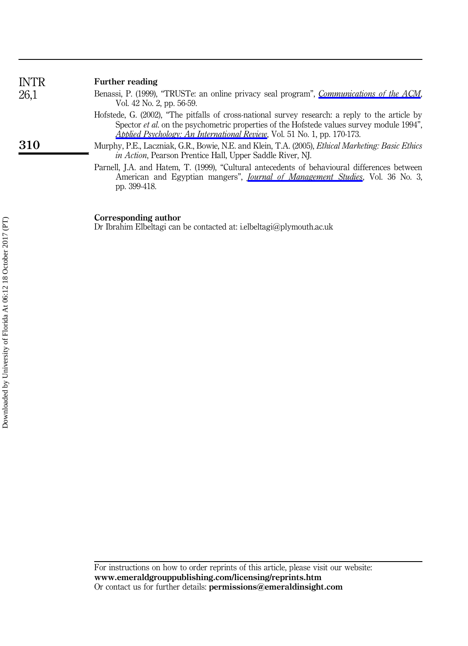| <b>INTR</b> | Further reading                                                                                                                                                                                                                                                                        |
|-------------|----------------------------------------------------------------------------------------------------------------------------------------------------------------------------------------------------------------------------------------------------------------------------------------|
| 26,1        | Benassi, P. (1999), "TRUSTe: an online privacy seal program", <i>Communications of the ACM</i><br>Vol. 42 No. 2, pp. 56-59.                                                                                                                                                            |
|             | Hofstede, G. (2002), "The pitfalls of cross-national survey research: a reply to the article by<br>Spector <i>et al.</i> on the psychometric properties of the Hofstede values survey module 1994".<br><i>Applied Psychology: An International Review, Vol.</i> 51 No. 1, pp. 170-173. |
| 310         | Murphy, P.E., Laczniak, G.R., Bowie, N.E. and Klein, T.A. (2005), <i>Ethical Marketing: Basic Ethics</i><br><i>in Action</i> , Pearson Prentice Hall, Upper Saddle River, NJ.                                                                                                          |
|             | Parnell, J.A. and Hatem, T. (1999), "Cultural antecedents of behavioural differences between<br>American and Egyptian mangers", <i>Journal of Management Studies</i> , Vol. 36 No. 3<br>pp. 399-418.                                                                                   |

#### Corresponding author

Dr Ibrahim Elbeltagi can be contacted at: [i.elbeltagi@plymouth.ac.uk](mailto:i.elbeltagi@plymouth.ac.uk)

For instructions on how to order reprints of this article, please visit our website: www.emeraldgrouppublishing.com/licensing/reprints.htm Or contact us for further details: permissions@emeraldinsight.com